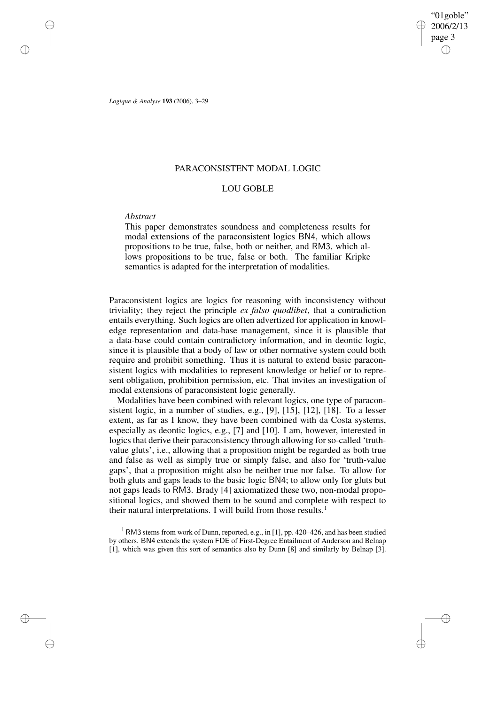"01goble" 2006/2/13 page 3 ✐ ✐

✐

✐

*Logique & Analyse* **193** (2006), 3–29

✐

✐

✐

✐

# PARACONSISTENT MODAL LOGIC

# LOU GOBLE

## *Abstract*

This paper demonstrates soundness and completeness results for modal extensions of the paraconsistent logics BN4, which allows propositions to be true, false, both or neither, and RM3, which allows propositions to be true, false or both. The familiar Kripke semantics is adapted for the interpretation of modalities.

Paraconsistent logics are logics for reasoning with inconsistency without triviality; they reject the principle *ex falso quodlibet*, that a contradiction entails everything. Such logics are often advertized for application in knowledge representation and data-base management, since it is plausible that a data-base could contain contradictory information, and in deontic logic, since it is plausible that a body of law or other normative system could both require and prohibit something. Thus it is natural to extend basic paraconsistent logics with modalities to represent knowledge or belief or to represent obligation, prohibition permission, etc. That invites an investigation of modal extensions of paraconsistent logic generally.

Modalities have been combined with relevant logics, one type of paraconsistent logic, in a number of studies, e.g., [9], [15], [12], [18]. To a lesser extent, as far as I know, they have been combined with da Costa systems, especially as deontic logics, e.g., [7] and [10]. I am, however, interested in logics that derive their paraconsistency through allowing for so-called 'truthvalue gluts', i.e., allowing that a proposition might be regarded as both true and false as well as simply true or simply false, and also for 'truth-value gaps', that a proposition might also be neither true nor false. To allow for both gluts and gaps leads to the basic logic BN4; to allow only for gluts but not gaps leads to RM3. Brady [4] axiomatized these two, non-modal propositional logics, and showed them to be sound and complete with respect to their natural interpretations. I will build from those results.<sup>1</sup>

<sup>1</sup> RM3 stems from work of Dunn, reported, e.g., in [1], pp. 420–426, and has been studied by others. BN4 extends the system FDE of First-Degree Entailment of Anderson and Belnap [1], which was given this sort of semantics also by Dunn [8] and similarly by Belnap [3].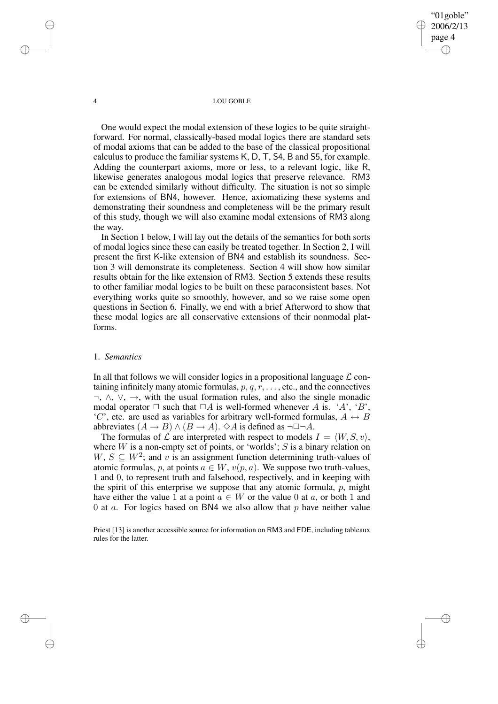"01goble" 2006/2/13 page 4 ✐ ✐

✐

✐

#### 4 LOU GOBLE

One would expect the modal extension of these logics to be quite straightforward. For normal, classically-based modal logics there are standard sets of modal axioms that can be added to the base of the classical propositional calculus to produce the familiar systems K, D, T, S4, B and S5, for example. Adding the counterpart axioms, more or less, to a relevant logic, like R, likewise generates analogous modal logics that preserve relevance. RM3 can be extended similarly without difficulty. The situation is not so simple for extensions of BN4, however. Hence, axiomatizing these systems and demonstrating their soundness and completeness will be the primary result of this study, though we will also examine modal extensions of RM3 along the way.

In Section 1 below, I will lay out the details of the semantics for both sorts of modal logics since these can easily be treated together. In Section 2, I will present the first K-like extension of BN4 and establish its soundness. Section 3 will demonstrate its completeness. Section 4 will show how similar results obtain for the like extension of RM3. Section 5 extends these results to other familiar modal logics to be built on these paraconsistent bases. Not everything works quite so smoothly, however, and so we raise some open questions in Section 6. Finally, we end with a brief Afterword to show that these modal logics are all conservative extensions of their nonmodal platforms.

## 1. *Semantics*

In all that follows we will consider logics in a propositional language  $\mathcal L$  containing infinitely many atomic formulas,  $p, q, r, \ldots$ , etc., and the connectives  $\neg$ ,  $\wedge$ ,  $\vee$ ,  $\rightarrow$ , with the usual formation rules, and also the single monadic modal operator  $\Box$  such that  $\Box A$  is well-formed whenever A is. 'A', 'B', 'C', etc. are used as variables for arbitrary well-formed formulas,  $A \leftrightarrow B$ abbreviates  $(A \rightarrow B) \land (B \rightarrow A)$ .  $\Diamond A$  is defined as  $\neg \Box \neg A$ .

The formulas of  $\mathcal L$  are interpreted with respect to models  $I = \langle W, S, v \rangle$ , where  $W$  is a non-empty set of points, or 'worlds';  $S$  is a binary relation on  $W, S \subseteq W^2$ ; and v is an assignment function determining truth-values of atomic formulas, p, at points  $a \in W$ ,  $v(p, a)$ . We suppose two truth-values, 1 and 0, to represent truth and falsehood, respectively, and in keeping with the spirit of this enterprise we suppose that any atomic formula,  $p$ , might have either the value 1 at a point  $a \in W$  or the value 0 at a, or both 1 and 0 at  $a$ . For logics based on BN4 we also allow that  $p$  have neither value

Priest [13] is another accessible source for information on RM3 and FDE, including tableaux rules for the latter.

✐

✐

✐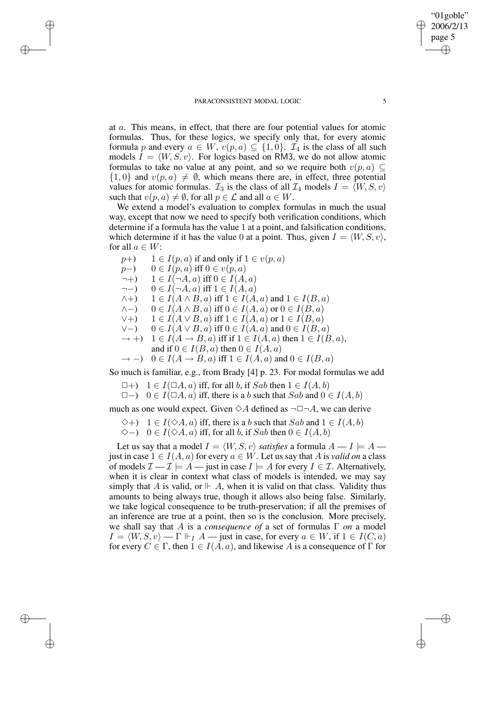at a. This means, in effect, that there are four potential values for atomic formulas. Thus, for these logics, we specify only that, for every atomic formula p and every  $a \in W$ ,  $v(p, a) \subseteq \{1, 0\}$ .  $\mathcal{I}_4$  is the class of all such models  $I = \langle W, S, v \rangle$ . For logics based on RM3, we do not allow atomic formulas to take no value at any point, and so we require both  $v(p, a) \subseteq$  $\{1, 0\}$  and  $v(p, a) \neq \emptyset$ , which means there are, in effect, three potential values for atomic formulas.  $\mathcal{I}_3$  is the class of all  $\mathcal{I}_4$  models  $I = \langle W, S, v \rangle$ such that  $v(p, a) \neq \emptyset$ , for all  $p \in \mathcal{L}$  and all  $a \in W$ .

We extend a model's evaluation to complex formulas in much the usual way, except that now we need to specify both verification conditions, which determine if a formula has the value 1 at a point, and falsification conditions, which determine if it has the value 0 at a point. Thus, given  $I = \langle W, S, v \rangle$ , for all  $a \in W$ :

- $p+$ ) 1 ∈  $I(p, a)$  if and only if  $1 \in v(p, a)$
- $p-$ ) 0 ∈  $I(p, a)$  iff  $0 \in v(p, a)$

✐

✐

✐

✐

- $\neg +$ )  $1 \in I(\neg A, a)$  iff  $0 \in I(A, a)$
- $\neg$   $\rightarrow$  0 ∈  $I(\neg A, a)$  iff  $1 \in I(A, a)$
- $\wedge$  +)  $1 \in I(A \wedge B, a)$  iff  $1 \in I(A, a)$  and  $1 \in I(B, a)$
- $\wedge$   $\wedge$   $\wedge$   $\wedge$   $\wedge$   $\wedge$   $\wedge$   $\wedge$   $\wedge$   $\wedge$   $\wedge$   $\wedge$   $\wedge$   $\wedge$   $\wedge$   $\wedge$   $\wedge$   $\wedge$   $\wedge$   $\wedge$   $\wedge$   $\wedge$   $\wedge$   $\wedge$   $\wedge$   $\wedge$   $\wedge$   $\wedge$   $\wedge$   $\wedge$   $\wedge$   $\wedge$   $\wedge$   $\wedge$   $\wedge$   $\wedge$   $\wedge$
- $\forall$  +  $\}$   $1 \in I(A \vee B, a)$  iff  $1 \in I(A, a)$  or  $1 \in I(B, a)$
- $\vee$ −) 0 ∈  $I(A \vee B, a)$  iff  $0 \in I(A, a)$  and  $0 \in I(B, a)$
- $\rightarrow$  +)  $1 \in I(A \rightarrow B, a)$  iff if  $1 \in I(A, a)$  then  $1 \in I(B, a)$ , and if  $0 \in I(B, a)$  then  $0 \in I(A, a)$
- $\rightarrow$  -) 0  $\in I(A \rightarrow B, a)$  iff  $1 \in I(A, a)$  and  $0 \in I(B, a)$

So much is familiar, e.g., from Brady [4] p. 23. For modal formulas we add

- $\Box +$  1 ∈  $I(\Box A, a)$  iff, for all b, if Sab then  $1 \in I(A, b)$
- $\Box$ −)  $0 \in I(\Box A, a)$  iff, there is a b such that Sab and  $0 \in I(A, b)$

much as one would expect. Given  $\Diamond A$  defined as  $\neg \Box \neg A$ , we can derive

- $\Diamond$ +)  $1 \in I(\Diamond A, a)$  iff, there is a b such that Sab and  $1 \in I(A, b)$
- ◇−) 0 ∈  $I(\diamond A, a)$  iff, for all b, if Sab then 0 ∈  $I(A, b)$

Let us say that a model  $I = \langle W, S, v \rangle$  *satisfies* a formula  $A - I \models A$  just in case  $1 \in I(A, a)$  for every  $a \in W$ . Let us say that A is *valid on* a class of models  $\mathcal{I} - \mathcal{I} \models A$  — just in case  $I \models A$  for every  $I \in \mathcal{I}$ . Alternatively, when it is clear in context what class of models is intended, we may say simply that A is valid, or  $\mathbb{H}$  A, when it is valid on that class. Validity thus amounts to being always true, though it allows also being false. Similarly, we take logical consequence to be truth-preservation; if all the premises of an inference are true at a point, then so is the conclusion. More precisely, we shall say that A is a *consequence of* a set of formulas Γ *on* a model  $I = \langle W, S, v \rangle - \Gamma \Vdash_I A$  — just in case, for every  $a \in W$ , if  $1 \in I(C, a)$ for every  $C \in \Gamma$ , then  $1 \in I(A, a)$ , and likewise A is a consequence of  $\Gamma$  for

"01goble" 2006/2/13 page 5

✐

✐

✐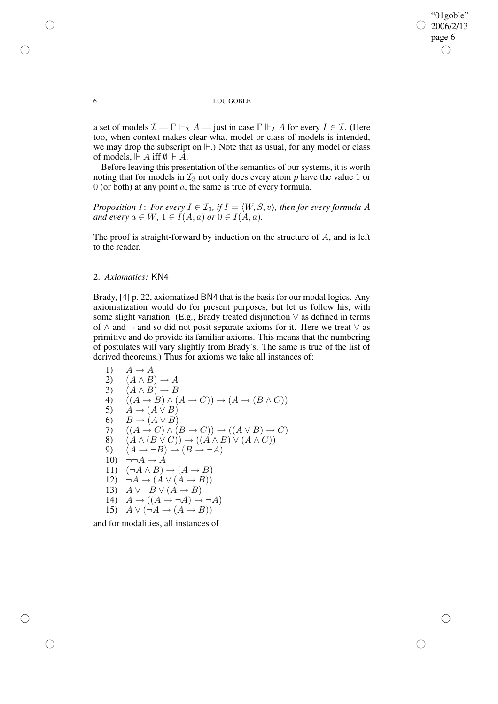✐

### 6 LOU GOBLE

a set of models  $\mathcal{I}$  –  $\Gamma \Vdash_{\mathcal{I}} A$  – just in case  $\Gamma \Vdash_{I} A$  for every  $I \in \mathcal{I}$ . (Here too, when context makes clear what model or class of models is intended, we may drop the subscript on  $\mathbb{H}$ .) Note that as usual, for any model or class of models,  $\mathrel{\Vdash} A$  iff  $\emptyset \mathrel{\Vdash} A$ .

Before leaving this presentation of the semantics of our systems, it is worth noting that for models in  $\mathcal{I}_3$  not only does every atom p have the value 1 or  $0$  (or both) at any point  $a$ , the same is true of every formula.

*Proposition 1: For every*  $I \in \mathcal{I}_3$ *, if*  $I = \langle W, S, v \rangle$ *, then for every formula* A *and every*  $a \in W$ ,  $1 \in I(A, a)$  *or*  $0 \in I(A, a)$ *.* 

The proof is straight-forward by induction on the structure of A, and is left to the reader.

# 2. *Axiomatics:* KN4

Brady, [4] p. 22, axiomatized BN4 that is the basis for our modal logics. Any axiomatization would do for present purposes, but let us follow his, with some slight variation. (E.g., Brady treated disjunction  $\vee$  as defined in terms of ∧ and ¬ and so did not posit separate axioms for it. Here we treat ∨ as primitive and do provide its familiar axioms. This means that the numbering of postulates will vary slightly from Brady's. The same is true of the list of derived theorems.) Thus for axioms we take all instances of:

1) 
$$
A \rightarrow A
$$
  
\n2)  $(A \land B) \rightarrow A$   
\n3)  $(A \land B) \rightarrow B$   
\n4)  $((A \rightarrow B) \land (A \rightarrow C)) \rightarrow (A \rightarrow (B \land C))$   
\n5)  $A \rightarrow (A \lor B)$   
\n6)  $B \rightarrow (A \lor B)$   
\n7)  $((A \rightarrow C) \land (B \rightarrow C)) \rightarrow ((A \lor B) \rightarrow C)$   
\n8)  $(A \land (B \lor C)) \rightarrow ((A \land B) \lor (A \land C))$   
\n9)  $(A \rightarrow \neg B) \rightarrow (B \rightarrow \neg A)$   
\n10)  $\neg \neg A \rightarrow A$   
\n11)  $(\neg A \land B) \rightarrow (A \rightarrow B)$   
\n12)  $\neg A \rightarrow (A \lor (A \rightarrow B))$   
\n13)  $A \lor \neg B \lor (A \rightarrow B)$   
\n14)  $A \rightarrow ((A \rightarrow \neg A) \rightarrow \neg A)$   
\n15)  $A \lor (\neg A \rightarrow (A \rightarrow B))$ 

and for modalities, all instances of

✐

✐

✐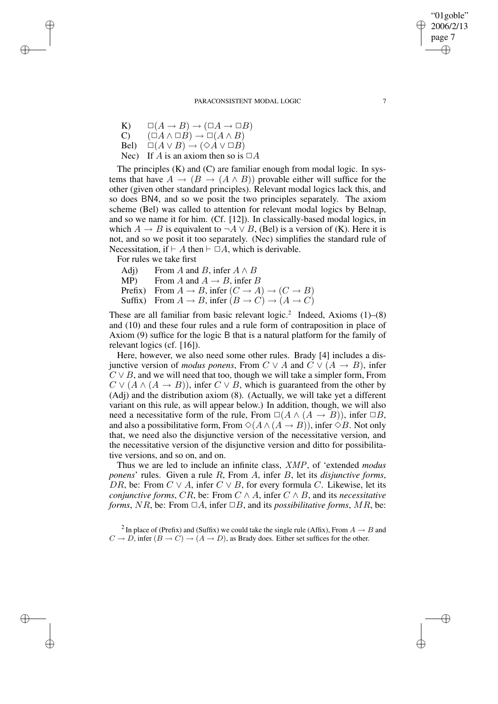- K)  $\square(A \rightarrow B) \rightarrow (\square A \rightarrow \square B)$
- $\overrightarrow{C}$   $(\overrightarrow{\Box}A \wedge \overrightarrow{B}) \rightarrow \overrightarrow{\Box}(A \wedge B)$
- Bel)  $\square(A \vee B) \rightarrow (\lozenge A \vee \square B)$
- Nec) If A is an axiom then so is  $\Box A$

The principles (K) and (C) are familiar enough from modal logic. In systems that have  $A \to (B \to (A \wedge B))$  provable either will suffice for the other (given other standard principles). Relevant modal logics lack this, and so does BN4, and so we posit the two principles separately. The axiom scheme (Bel) was called to attention for relevant modal logics by Belnap, and so we name it for him. (Cf. [12]). In classically-based modal logics, in which  $A \rightarrow B$  is equivalent to  $\neg A \lor B$ , (Bel) is a version of (K). Here it is not, and so we posit it too separately. (Nec) simplifies the standard rule of Necessitation, if  $\vdash A$  then  $\vdash \Box A$ , which is derivable.

For rules we take first

✐

✐

✐

✐

- Adj) From A and B, infer  $A \wedge B$ <br>MP) From A and  $A \rightarrow B$ , infer I
- From A and  $A \rightarrow B$ , infer B
- Prefix) From  $A \to B$ , infer  $(C \to A) \to (C \to B)$
- Suffix) From  $A \to B$ , infer  $(B \to C) \to (A \to C)$

These are all familiar from basic relevant  $logic.^2$  Indeed, Axioms  $(1)$ – $(8)$ and (10) and these four rules and a rule form of contraposition in place of Axiom (9) suffice for the logic B that is a natural platform for the family of relevant logics (cf. [16]).

Here, however, we also need some other rules. Brady [4] includes a disjunctive version of *modus ponens*, From  $C \vee A$  and  $C \vee (A \rightarrow B)$ , infer  $C \vee B$ , and we will need that too, though we will take a simpler form, From  $C \vee (A \wedge (A \rightarrow B))$ , infer  $C \vee B$ , which is guaranteed from the other by (Adj) and the distribution axiom (8). (Actually, we will take yet a different variant on this rule, as will appear below.) In addition, though, we will also need a necessitative form of the rule, From  $\Box(A \land (A \rightarrow B))$ , infer  $\Box B$ , and also a possibilitative form, From  $\Diamond(A \land (A \rightarrow B))$ , infer  $\Diamond B$ . Not only that, we need also the disjunctive version of the necessitative version, and the necessitative version of the disjunctive version and ditto for possibilitative versions, and so on, and on.

Thus we are led to include an infinite class, XMP, of 'extended *modus ponens*' rules. Given a rule R, From A, infer B, let its *disjunctive forms*, DR, be: From  $C \vee A$ , infer  $C \vee B$ , for every formula C. Likewise, let its *conjunctive forms, CR, be:* From  $C \wedge A$ , infer  $C \wedge B$ , and its *necessitative forms*, NR, be: From  $\Box A$ , infer  $\Box B$ , and its *possibilitative forms*, MR, be:

"01goble" 2006/2/13 page 7

✐

✐

✐

<sup>&</sup>lt;sup>2</sup> In place of (Prefix) and (Suffix) we could take the single rule (Affix), From  $A \to B$  and  $C \to D$ , infer  $(B \to C) \to (A \to D)$ , as Brady does. Either set suffices for the other.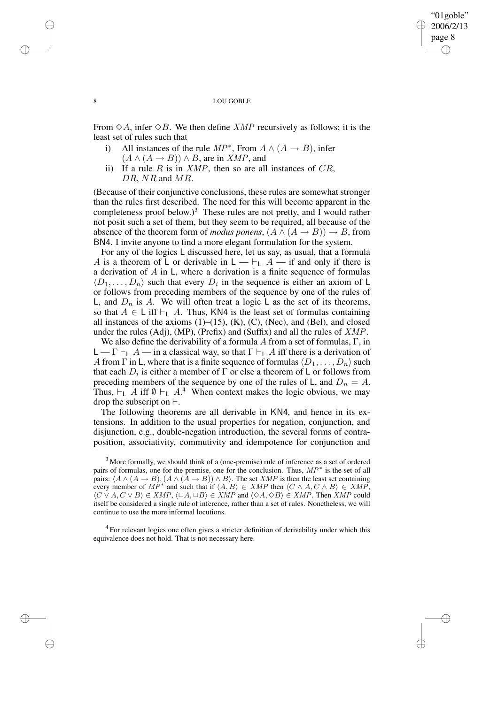#### 8 LOU GOBLE

"01goble" 2006/2/13 page 8

✐

✐

✐

✐

From  $\Diamond A$ , infer  $\Diamond B$ . We then define *XMP* recursively as follows; it is the least set of rules such that

- i) All instances of the rule  $MP^*$ , From  $A \wedge (A \rightarrow B)$ , infer  $(A \wedge (A \rightarrow B)) \wedge B$ , are in *XMP*, and
- ii) If a rule R is in  $XMP$ , then so are all instances of  $CR$ , DR, NR and MR.

(Because of their conjunctive conclusions, these rules are somewhat stronger than the rules first described. The need for this will become apparent in the completeness proof below.)<sup>3</sup> These rules are not pretty, and I would rather not posit such a set of them, but they seem to be required, all because of the absence of the theorem form of *modus ponens*,  $(A \land (A \rightarrow B)) \rightarrow B$ , from BN4. I invite anyone to find a more elegant formulation for the system.

For any of the logics L discussed here, let us say, as usual, that a formula A is a theorem of L or derivable in  $L \to \vdash_L A$  — if and only if there is a derivation of A in L, where a derivation is a finite sequence of formulas  $\langle D_1, \ldots, D_n \rangle$  such that every  $D_i$  in the sequence is either an axiom of L or follows from preceding members of the sequence by one of the rules of L, and  $D_n$  is A. We will often treat a logic L as the set of its theorems, so that  $A \in L$  iff  $\vdash_L A$ . Thus, KN4 is the least set of formulas containing all instances of the axioms  $(1)$ – $(15)$ ,  $(K)$ ,  $(C)$ ,  $(Nec)$ , and  $(Bel)$ , and closed under the rules (Adj), (MP), (Prefix) and (Suffix) and all the rules of  $XMP$ .

We also define the derivability of a formula A from a set of formulas,  $\Gamma$ , in  $L \rightharpoonup \Gamma \rightharpoonup_L A$  — in a classical way, so that  $\Gamma \rightharpoonup_L A$  iff there is a derivation of A from  $\Gamma$  in L, where that is a finite sequence of formulas  $\langle D_1, \ldots, D_n \rangle$  such that each  $D_i$  is either a member of  $\Gamma$  or else a theorem of L or follows from preceding members of the sequence by one of the rules of L, and  $D_n = A$ . Thus,  $\vdash_L A$  iff  $\emptyset \vdash_L A$ .<sup>4</sup> When context makes the logic obvious, we may drop the subscript on  $\vdash$ .

The following theorems are all derivable in KN4, and hence in its extensions. In addition to the usual properties for negation, conjunction, and disjunction, e.g., double-negation introduction, the several forms of contraposition, associativity, commutivity and idempotence for conjunction and

<sup>4</sup> For relevant logics one often gives a stricter definition of derivability under which this equivalence does not hold. That is not necessary here.

✐

✐

✐

 $3$  More formally, we should think of a (one-premise) rule of inference as a set of ordered pairs of formulas, one for the premise, one for the conclusion. Thus, MP<sup>∗</sup> is the set of all pairs:  $\langle A \wedge (A \rightarrow B), (A \wedge (A \rightarrow B)) \wedge B \rangle$ . The set XMP is then the least set containing every member of  $M P^*$  and such that if  $\langle A, B \rangle \in XMP$  then  $\langle C \wedge A, C \wedge B \rangle \in XMP$ ,  $\langle C \vee A, C \vee B \rangle \in XMP, \langle \Box A, \Box B \rangle \in XMP$  and  $\langle \Diamond A, \Diamond B \rangle \in XMP$ . Then  $XMP$  could itself be considered a single rule of inference, rather than a set of rules. Nonetheless, we will continue to use the more informal locutions.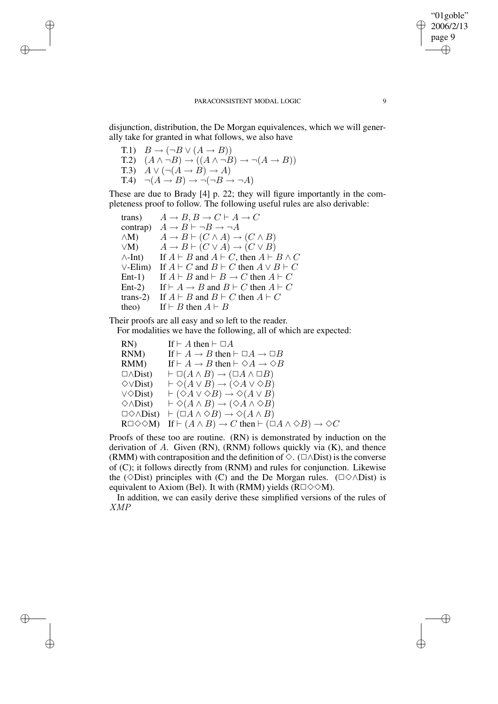disjunction, distribution, the De Morgan equivalences, which we will generally take for granted in what follows, we also have

T.1)  $B \to (\neg B \lor (A \to B))$ T.2)  $(A \land \neg B) \rightarrow ((A \land \neg B) \rightarrow \neg (A \rightarrow B))$ T.3)  $A \lor (\neg(A \rightarrow B) \rightarrow A)$  $T.4$ )  $\neg(A \rightarrow B) \rightarrow \neg(\neg B \rightarrow \neg A)$ 

✐

✐

✐

✐

These are due to Brady [4] p. 22; they will figure importantly in the completeness proof to follow. The following useful rules are also derivable:

trans)  $A \rightarrow B$ ,  $B \rightarrow C \vdash A \rightarrow C$ contrap)  $A \rightarrow B \vdash \neg B \rightarrow \neg A$  $\wedge M$ )  $A \to B \vdash (C \wedge A) \to (C \wedge B)$  $\vee$ M)  $A \rightarrow B \vdash (C \vee A) \rightarrow (C \vee B)$  $\wedge$ -Int) If  $A \vdash B$  and  $A \vdash C$ , then  $A \vdash B \wedge C$  $\vee$ -Elim) If  $A \vdash C$  and  $B \vdash C$  then  $A \vee B \vdash C$ Ent-1) If  $A \vdash B$  and  $\vdash B \rightarrow C$  then  $A \vdash C$ Ent-2) If  $\vdash A \rightarrow B$  and  $B \vdash C$  then  $A \vdash C$ trans-2) If  $A \vdash B$  and  $B \vdash C$  then  $A \vdash C$ theo) If  $\vdash B$  then  $A \vdash B$ 

Their proofs are all easy and so left to the reader.

For modalities we have the following, all of which are expected:

RN) If  $\vdash A$  then  $\vdash \Box A$ RNM) If  $\vdash A \rightarrow B$  then  $\vdash \Box A \rightarrow \Box B$ RMM) If  $\vdash A \rightarrow B$  then  $\vdash \Diamond A \rightarrow \Diamond B$  $\Box \wedge Dist$   $\vdash \Box(A \wedge B) \rightarrow (\Box A \wedge \Box B)$  $\Diamond \vee \text{Dist}$ )  $\vdash \Diamond (A \vee B) \rightarrow (\Diamond A \vee \Diamond B)$  $\vee \Diamond Dist$   $\vdash (\Diamond A \vee \Diamond B) \rightarrow \Diamond (A \vee B)$  $\diamondsuit \wedge \text{Dist}$   $\vdash \diamondsuit (A \wedge B) \rightarrow (\diamondsuit A \wedge \diamondsuit B)$  $\Box \Diamond \land \Box$ bist)  $\vdash (\Box A \land \Diamond B) \rightarrow \Diamond (A \land B)$  $R\square \diamond \diamond M$ ) If  $\vdash (A \wedge B) \rightarrow C$  then  $\vdash (\square A \wedge \diamond B) \rightarrow \diamond C$ 

Proofs of these too are routine. (RN) is demonstrated by induction on the derivation of  $A$ . Given (RN), (RNM) follows quickly via  $(K)$ , and thence (RMM) with contraposition and the definition of  $\Diamond$ . ( $\Box \land$ Dist) is the converse of (C); it follows directly from (RNM) and rules for conjunction. Likewise the ( $\Diamond$ Dist) principles with (C) and the De Morgan rules. ( $\Box \Diamond \land$ Dist) is equivalent to Axiom (Bel). It with (RMM) yields ( $R\Box \Diamond \Diamond M$ ).

In addition, we can easily derive these simplified versions of the rules of XMP

PARACONSISTENT MODAL LOGIC 9

"01goble" 2006/2/13 page 9

✐

✐

✐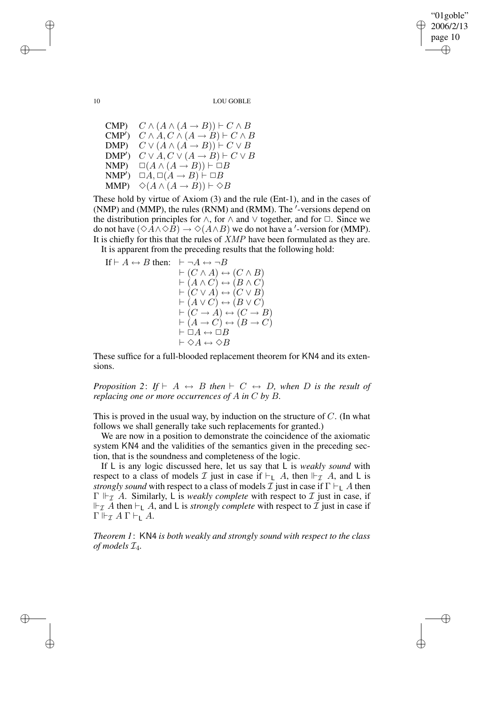"01goble" 2006/2/13 page 10 ✐ ✐

✐

✐

10 LOU GOBLE

CMP)  $C \wedge (A \wedge (A \rightarrow B)) \vdash C \wedge B$  $\text{CMP}'$  $C \wedge A, C \wedge (A \rightarrow B) \vdash C \wedge B$ DMP)  $C \vee (A \wedge (A \rightarrow B)) \vdash C \vee B$  $\text{DMP}'$ )  $C \vee A, C \vee (A \rightarrow B) \vdash C \vee B$ NMP)  $\Box(A \land (A \rightarrow B)) \vdash \Box B$  $\text{NMP}'\text{)} \quad \Box A, \Box (A \to B) \vdash \Box B$ MMP)  $\Diamond (A \land (A \rightarrow B)) \vdash \Diamond B$ 

These hold by virtue of Axiom (3) and the rule (Ent-1), and in the cases of  $(NMP)$  and  $(MMP)$ , the rules  $(RNM)$  and  $(RMM)$ . The  $'$ -versions depend on the distribution principles for  $\land$ , for  $\land$  and  $\lor$  together, and for  $\Box$ . Since we do not have  $(\Diamond A \land \Diamond B) \to \Diamond (A \land B)$  we do not have a '-version for (MMP). It is chiefly for this that the rules of XMP have been formulated as they are.

It is apparent from the preceding results that the following hold:

If 
$$
\vdash A \leftrightarrow B
$$
 then:  $\vdash \neg A \leftrightarrow \neg B$   
\n $\vdash (C \land A) \leftrightarrow (C \land B)$   
\n $\vdash (A \land C) \leftrightarrow (B \land C)$   
\n $\vdash (C \lor A) \leftrightarrow (C \lor B)$   
\n $\vdash (A \lor C) \leftrightarrow (B \lor C)$   
\n $\vdash (C \rightarrow A) \leftrightarrow (C \rightarrow B)$   
\n $\vdash (A \rightarrow C) \leftrightarrow (B \rightarrow C)$   
\n $\vdash \Box A \leftrightarrow \Box B$   
\n $\vdash \Diamond A \leftrightarrow \Diamond B$ 

These suffice for a full-blooded replacement theorem for KN4 and its extensions.

*Proposition* 2: If  $\vdash A \leftrightarrow B$  *then*  $\vdash C \leftrightarrow D$ *, when* D *is the result of replacing one or more occurrences of* A *in* C *by* B*.*

This is proved in the usual way, by induction on the structure of  $C$ . (In what follows we shall generally take such replacements for granted.)

We are now in a position to demonstrate the coincidence of the axiomatic system KN4 and the validities of the semantics given in the preceding section, that is the soundness and completeness of the logic.

If L is any logic discussed here, let us say that L is *weakly sound* with respect to a class of models T just in case if  $\vdash_{\mathsf{L}} A$ , then  $\vdash_{\mathcal{L}} A$ , and L is *strongly sound* with respect to a class of models  $\mathcal I$  just in case if  $\Gamma \vdash_L A$  then  $\Gamma \Vdash_{\mathcal{I}} A$ . Similarly, L is *weakly complete* with respect to  $\mathcal{I}$  just in case, if  $\Vdash_{\mathcal{I}} A$  then  $\vdash_{\mathsf{L}} A$ , and L is *strongly complete* with respect to  $\mathcal{I}$  just in case if  $\Gamma \Vdash_{\mathcal{I}} A \Gamma \vdash_{\mathsf{L}} A$ .

*Theorem 1*: KN4 *is both weakly and strongly sound with respect to the class of models* I4*.*

✐

✐

✐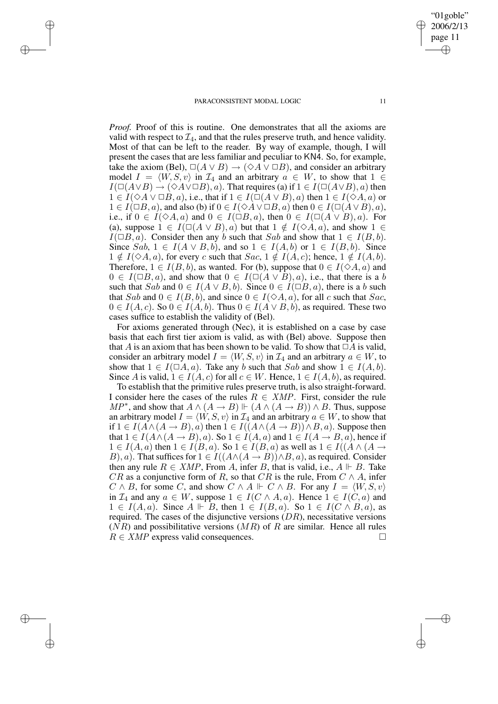✐

✐

✐

✐

*Proof.* Proof of this is routine. One demonstrates that all the axioms are valid with respect to  $\mathcal{I}_4$ , and that the rules preserve truth, and hence validity. Most of that can be left to the reader. By way of example, though, I will present the cases that are less familiar and peculiar to KN4. So, for example, take the axiom (Bel),  $\Box(A \lor B) \rightarrow (\Diamond A \lor \Box B)$ , and consider an arbitrary model  $I = \langle W, S, v \rangle$  in  $\mathcal{I}_4$  and an arbitrary  $a \in W$ , to show that  $1 \in$  $I(\Box(A \lor B) \to (\Diamond A \lor \Box B), a)$ . That requires (a) if  $1 \in I(\Box(A \lor B), a)$  then  $1 \in I(\Diamond A \lor \Box B, a)$ , i.e., that if  $1 \in I(\Box(A \lor B), a)$  then  $1 \in I(\Diamond A, a)$  or  $1 \in I(\Box B, a)$ , and also (b) if  $0 \in I(\Diamond A \lor \Box B, a)$  then  $0 \in I(\Box(A \lor B), a)$ , i.e., if  $0 \in I(\Diamond A, a)$  and  $0 \in I(\Box B, a)$ , then  $0 \in I(\Box(A \vee B), a)$ . For (a), suppose  $1 \in I(\square(A \vee B), a)$  but that  $1 \notin I(\lozenge A, a)$ , and show  $1 \in$  $I(\Box B, a)$ . Consider then any b such that Sab and show that  $1 \in I(B, b)$ . Since Sab,  $1 \in I(A \vee B, b)$ , and so  $1 \in I(A, b)$  or  $1 \in I(B, b)$ . Since  $1 \notin I(\Diamond A, a)$ , for every c such that  $Sac, 1 \notin I(A, c)$ ; hence,  $1 \notin I(A, b)$ . Therefore,  $1 \in I(B, b)$ , as wanted. For (b), suppose that  $0 \in I(\Diamond A, a)$  and  $0 \in I(\Box B, a)$ , and show that  $0 \in I(\Box(A \lor B), a)$ , i.e., that there is a b such that Sab and  $0 \in I(A \vee B, b)$ . Since  $0 \in I(\Box B, a)$ , there is a b such that Sab and  $0 \in I(B, b)$ , and since  $0 \in I(\Diamond A, a)$ , for all c such that Sac,  $0 \in I(A, c)$ . So  $0 \in I(A, b)$ . Thus  $0 \in I(A \vee B, b)$ , as required. These two cases suffice to establish the validity of (Bel).

For axioms generated through (Nec), it is established on a case by case basis that each first tier axiom is valid, as with (Bel) above. Suppose then that A is an axiom that has been shown to be valid. To show that  $\Box A$  is valid, consider an arbitrary model  $I = \langle W, S, v \rangle$  in  $\mathcal{I}_4$  and an arbitrary  $a \in W$ , to show that  $1 \in I(\square A, a)$ . Take any b such that Sab and show  $1 \in I(A, b)$ . Since A is valid,  $1 \in I(A, c)$  for all  $c \in W$ . Hence,  $1 \in I(A, b)$ , as required.

To establish that the primitive rules preserve truth, is also straight-forward. I consider here the cases of the rules  $R \in XMP$ . First, consider the rule MP<sup>\*</sup>, and show that  $A \wedge (A \rightarrow B) \Vdash (A \wedge (A \rightarrow B)) \wedge B$ . Thus, suppose an arbitrary model  $I = \langle W, S, v \rangle$  in  $\mathcal{I}_4$  and an arbitrary  $a \in W$ , to show that if  $1 \in I(A \wedge (A \rightarrow B), a)$  then  $1 \in I((A \wedge (A \rightarrow B)) \wedge B, a)$ . Suppose then that  $1 \in I(A \wedge (A \rightarrow B), a)$ . So  $1 \in I(A, a)$  and  $1 \in I(A \rightarrow B, a)$ , hence if  $1 \in I(A, a)$  then  $1 \in I(B, a)$ . So  $1 \in I(B, a)$  as well as  $1 \in I((A \wedge (A \rightarrow$ B), a). That suffices for  $1 \in I((A \wedge (A \rightarrow B)) \wedge B, a)$ , as required. Consider then any rule  $R \in XMP$ , From A, infer B, that is valid, i.e.,  $A \Vdash B$ . Take CR as a conjunctive form of R, so that CR is the rule, From  $C \wedge A$ , infer  $C \wedge B$ , for some C, and show  $C \wedge A \Vdash C \wedge B$ . For any  $I = \langle W, S, v \rangle$ in  $\mathcal{I}_4$  and any  $a \in W$ , suppose  $1 \in I(C \wedge A, a)$ . Hence  $1 \in I(C, a)$  and  $1 \in I(A, a)$ . Since  $A \Vdash B$ , then  $1 \in I(B, a)$ . So  $1 \in I(C \wedge B, a)$ , as required. The cases of the disjunctive versions  $(DR)$ , necessitative versions  $(NR)$  and possibilitative versions  $(MR)$  of R are similar. Hence all rules  $R \in XMP$  express valid consequences.

"01goble" 2006/2/13 page 11 ✐ ✐

✐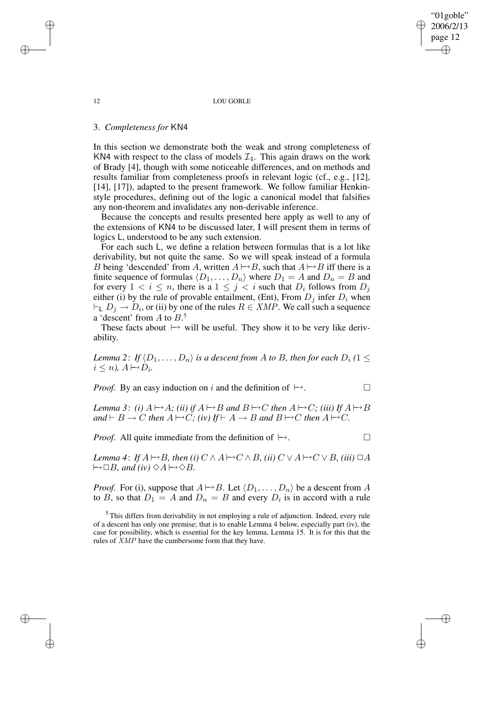"01goble" 2006/2/13 page 12 ✐ ✐

✐

✐

#### 12 LOU GOBLE

## 3. *Completeness for* KN4

In this section we demonstrate both the weak and strong completeness of KN4 with respect to the class of models  $\mathcal{I}_4$ . This again draws on the work of Brady [4], though with some noticeable differences, and on methods and results familiar from completeness proofs in relevant logic (cf., e.g., [12], [14], [17]), adapted to the present framework. We follow familiar Henkinstyle procedures, defining out of the logic a canonical model that falsifies any non-theorem and invalidates any non-derivable inference.

Because the concepts and results presented here apply as well to any of the extensions of KN4 to be discussed later, I will present them in terms of logics L, understood to be any such extension.

For each such L, we define a relation between formulas that is a lot like derivability, but not quite the same. So we will speak instead of a formula B being 'descended' from A, written  $A \rightarrow B$ , such that  $A \rightarrow B$  iff there is a finite sequence of formulas  $\langle D_1, \ldots, D_n \rangle$  where  $D_1 = A$  and  $D_n = B$  and for every  $1 < i \leq n$ , there is a  $1 \leq j < i$  such that  $D_i$  follows from  $D_j$ either (i) by the rule of provable entailment, (Ent), From  $D_i$  infer  $D_i$  when  $\vdash_L D_j \to D_i$ , or (ii) by one of the rules  $R \in XMP$ . We call such a sequence a 'descent' from  $A$  to  $B$ <sup>5</sup>.

These facts about  $\mapsto$  will be useful. They show it to be very like derivability.

*Lemma* 2: *If*  $\langle D_1, \ldots, D_n \rangle$  *is a descent from A to B, then for each*  $D_i$  (1  $\leq$  $i \leq n$ ,  $A \mapsto D_i$ .

*Proof.* By an easy induction on i and the definition of  $\mapsto$ .

*Lemma* 3: *(i)*  $A \mapsto A$ *; (ii) if*  $A \mapsto B$  *and*  $B \mapsto C$  *then*  $A \mapsto C$ *; (iii)* If  $A \mapsto B$  $\mathcal{A} \cup \mathcal{B} \cup \mathcal{C}$  *then*  $A \mapsto C$ *; (iv)* If  $\vdash A \rightarrow B$  *and*  $B \mapsto C$  *then*  $A \mapsto C$ *.* 

*Proof.* All quite immediate from the definition of  $\mapsto$ .

*Lemma* 4: *If*  $A \mapsto B$ *, then (i)*  $C \wedge A \mapsto C \wedge B$ *, (ii)*  $C \vee A \mapsto C \vee B$ *, (iii)*  $\Box A$  $\mapsto \Box B$ *, and (iv)*  $\Diamond A \mapsto \Diamond B$ *.* 

*Proof.* For (i), suppose that  $A \mapsto B$ . Let  $\langle D_1, \ldots, D_n \rangle$  be a descent from A to B, so that  $D_1 = A$  and  $D_n = B$  and every  $D_i$  is in accord with a rule

<sup>5</sup> This differs from derivability in not employing a rule of adjunction. Indeed, every rule of a descent has only one premise; that is to enable Lemma 4 below, especially part (iv), the case for possibility, which is essential for the key lemma, Lemma 15. It is for this that the rules of XMP have the cumbersome form that they have.

✐

✐

✐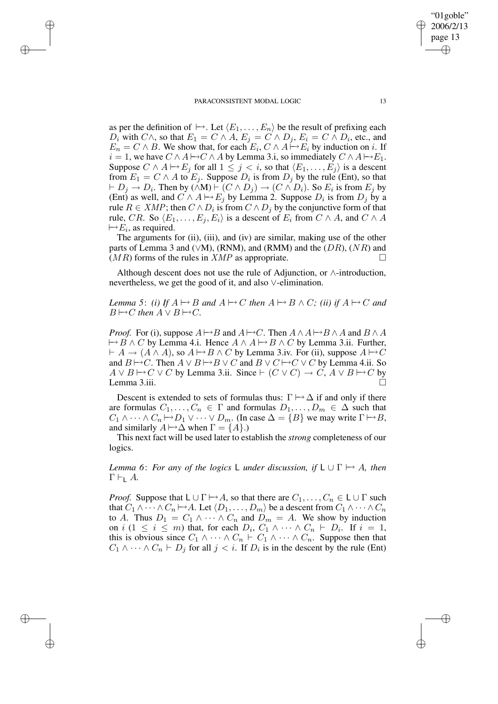✐

✐

✐

✐

as per the definition of  $\mapsto$ . Let  $\langle E_1, \ldots, E_n \rangle$  be the result of prefixing each  $D_i$  with  $C \wedge$ , so that  $E_1 = C \wedge A$ ,  $E_j = C \wedge D_j$ ,  $E_i = C \wedge D_i$ , etc., and  $E_n = C \wedge B$ . We show that, for each  $E_i, C \wedge A \rightarrow E_i$  by induction on i. If  $i = 1$ , we have  $C \wedge A \mapsto C \wedge A$  by Lemma 3.i, so immediately  $C \wedge A \mapsto E_1$ . Suppose  $C \wedge A \mapsto E_j$  for all  $1 \leq j < i$ , so that  $\langle E_1, \ldots, E_j \rangle$  is a descent from  $E_1 = C \wedge A$  to  $E_j$ . Suppose  $D_i$  is from  $D_j$  by the rule (Ent), so that  $\vdash D_j \to D_i$ . Then by  $(\wedge M) \vdash (C \wedge D_j) \to (C \wedge D_i)$ . So  $E_i$  is from  $E_j$  by (Ent) as well, and  $C \wedge A \mapsto E_j$  by Lemma 2. Suppose  $D_i$  is from  $D_j$  by a rule  $R \in XMP$ ; then  $C \wedge D_i$  is from  $C \wedge D_j$  by the conjunctive form of that rule, CR. So  $\langle E_1, \ldots, E_j, E_i \rangle$  is a descent of  $E_i$  from  $C \wedge A$ , and  $C \wedge A$  $\mapsto E_i$ , as required.

The arguments for (ii), (iii), and (iv) are similar, making use of the other parts of Lemma 3 and ( $\vee$ M), (RNM), and (RMM) and the ( $DR$ ), ( $NR$ ) and  $(MR)$  forms of the rules in  $XMP$  as appropriate.

Although descent does not use the rule of Adjunction, or ∧-introduction, nevertheless, we get the good of it, and also ∨-elimination.

*Lemma* 5: *(i)* If  $A \mapsto B$  and  $A \mapsto C$  then  $A \mapsto B \wedge C$ ; *(ii)* if  $A \mapsto C$  and  $B \mapsto C$  *then*  $A \vee B \mapsto C$ *.* 

*Proof.* For (i), suppose  $A \rightarrow B$  and  $A \rightarrow C$ . Then  $A \land A \rightarrow B \land A$  and  $B \land A$  $\mapsto B \wedge C$  by Lemma 4.i. Hence  $A \wedge A \mapsto B \wedge C$  by Lemma 3.ii. Further,  $\vdash A \rightarrow (A \land A)$ , so  $A \mapsto B \land C$  by Lemma 3.iv. For (ii), suppose  $A \mapsto C$ and  $B \rightarrow C$ . Then  $A \lor B \rightarrow B \lor C$  and  $B \lor C \rightarrow C \lor C$  by Lemma 4.ii. So  $A \lor B \rightarrow C \lor C$  by Lemma 3.ii. Since  $\vdash (C \lor C) \rightarrow C$ ,  $A \lor B \rightarrow C$  by Lemma 3.iii.  $\Box$ 

Descent is extended to sets of formulas thus:  $\Gamma \mapsto \Delta$  if and only if there are formulas  $C_1, \ldots, C_n \in \Gamma$  and formulas  $D_1, \ldots, D_m \in \Delta$  such that  $C_1 \wedge \cdots \wedge C_n \mapsto D_1 \vee \cdots \vee D_m$ . (In case  $\Delta = \{B\}$  we may write  $\Gamma \mapsto B$ , and similarly  $A \mapsto \Delta$  when  $\Gamma = \{A\}$ .)

This next fact will be used later to establish the *strong* completeness of our logics.

*Lemma* 6: *For any of the logics* L *under discussion, if*  $L \cup \Gamma \mapsto A$ *, then*  $\Gamma \vdash_{\mathsf{L}} A$ .

*Proof.* Suppose that  $L \cup \Gamma \mapsto A$ , so that there are  $C_1, \ldots, C_n \in L \cup \Gamma$  such that  $C_1 \wedge \cdots \wedge C_n \mapsto A$ . Let  $\langle D_1, \ldots, D_m \rangle$  be a descent from  $C_1 \wedge \cdots \wedge C_n$ to A. Thus  $D_1 = C_1 \wedge \cdots \wedge C_n$  and  $D_m = A$ . We show by induction on  $i$  ( $1 \leq i \leq m$ ) that, for each  $D_i$ ,  $C_1 \wedge \cdots \wedge C_n \vdash D_i$ . If  $i = 1$ , this is obvious since  $C_1 \wedge \cdots \wedge C_n \vdash C_1 \wedge \cdots \wedge C_n$ . Suppose then that  $C_1 \wedge \cdots \wedge C_n \vdash D_j$  for all  $j < i$ . If  $D_i$  is in the descent by the rule (Ent)

"01goble" 2006/2/13 page 13

✐

✐

✐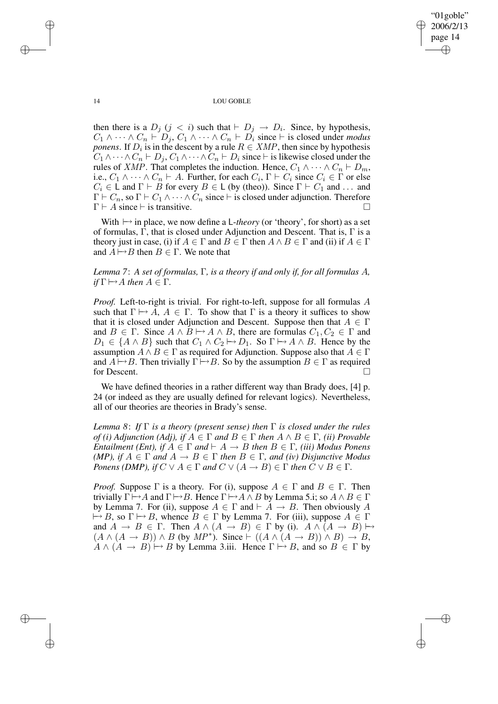"01goble" 2006/2/13 page 14 ✐ ✐

✐

✐

14 LOU GOBLE

then there is a  $D_j$   $(j < i)$  such that  $\vdash D_j \rightarrow D_i$ . Since, by hypothesis,  $C_1 \wedge \cdots \wedge C_n \vdash D_j, C_1 \wedge \cdots \wedge C_n \vdash D_i$  since  $\vdash$  is closed under *modus ponens*. If  $D_i$  is in the descent by a rule  $R \in XMP$ , then since by hypothesis  $C_1 \wedge \cdots \wedge C_n \vdash D_j, C_1 \wedge \cdots \wedge C_n \vdash D_i$  since  $\vdash$  is likewise closed under the rules of *XMP*. That completes the induction. Hence,  $C_1 \wedge \cdots \wedge C_n \vdash D_m$ , i.e.,  $C_1 \wedge \cdots \wedge C_n \vdash A$ . Further, for each  $C_i$ ,  $\Gamma \vdash C_i$  since  $C_i \in \Gamma$  or else  $C_i \in \mathsf{L}$  and  $\Gamma \vdash B$  for every  $B \in \mathsf{L}$  (by (theo)). Since  $\Gamma \vdash C_1$  and ... and  $\Gamma \vdash C_n$ , so  $\Gamma \vdash C_1 \wedge \cdots \wedge C_n$  since  $\vdash$  is closed under adjunction. Therefore  $\Gamma \vdash A$  since  $\vdash$  is transitive.

With  $\mapsto$  in place, we now define a L-*theory* (or 'theory', for short) as a set of formulas, Γ, that is closed under Adjunction and Descent. That is, Γ is a theory just in case, (i) if  $A \in \Gamma$  and  $B \in \Gamma$  then  $A \wedge B \in \Gamma$  and (ii) if  $A \in \Gamma$ and  $A \rightarrow B$  then  $B \in \Gamma$ . We note that

*Lemma 7*: *A set of formulas,* Γ*, is a theory if and only if, for all formulas* A*, if*  $\Gamma \mapsto A$  *then*  $A \in \Gamma$ *.* 

*Proof.* Left-to-right is trivial. For right-to-left, suppose for all formulas A such that  $\Gamma \mapsto A, A \in \Gamma$ . To show that  $\Gamma$  is a theory it suffices to show that it is closed under Adjunction and Descent. Suppose then that  $A \in \Gamma$ and  $B \in \Gamma$ . Since  $A \wedge B \mapsto A \wedge B$ , there are formulas  $C_1, C_2 \in \Gamma$  and  $D_1 \in \{A \wedge B\}$  such that  $C_1 \wedge C_2 \mapsto D_1$ . So  $\Gamma \mapsto A \wedge B$ . Hence by the assumption  $A \wedge B \in \Gamma$  as required for Adjunction. Suppose also that  $A \in \Gamma$ and  $A \mapsto B$ . Then trivially  $\Gamma \mapsto B$ . So by the assumption  $B \in \Gamma$  as required for Descent.  $\Box$ 

We have defined theories in a rather different way than Brady does, [4] p. 24 (or indeed as they are usually defined for relevant logics). Nevertheless, all of our theories are theories in Brady's sense.

*Lemma 8*: *If* Γ *is a theory (present sense) then* Γ *is closed under the rules*  $of$  *(i) Adjunction (Adj), if*  $A \in \Gamma$  *and*  $B \in \Gamma$  *then*  $A \wedge B \in \Gamma$ *, (ii) Provable Entailment (Ent), if*  $A \in \Gamma$  *and*  $\vdash A \rightarrow B$  *then*  $B \in \Gamma$ *, (iii) Modus Ponens (MP), if*  $A \in \Gamma$  *and*  $A \to B \in \Gamma$  *then*  $B \in \Gamma$ *, and (iv) Disjunctive Modus Ponens (DMP), if*  $C \vee A \in \Gamma$  *and*  $C \vee (A \rightarrow B) \in \Gamma$  *then*  $C \vee B \in \Gamma$ *.* 

*Proof.* Suppose  $\Gamma$  is a theory. For (i), suppose  $A \in \Gamma$  and  $B \in \Gamma$ . Then trivially  $\Gamma \mapsto A$  and  $\Gamma \mapsto B$ . Hence  $\Gamma \mapsto A \wedge B$  by Lemma 5.i; so  $A \wedge B \in \Gamma$ by Lemma 7. For (ii), suppose  $A \in \Gamma$  and  $\vdash A \rightarrow B$ . Then obviously A  $\mapsto B$ , so  $\Gamma \mapsto B$ , whence  $B \in \Gamma$  by Lemma 7. For (iii), suppose  $A \in \Gamma$ and  $A \rightarrow B \in \Gamma$ . Then  $A \wedge (A \rightarrow B) \in \Gamma$  by (i).  $A \wedge (A \rightarrow B) \mapsto$  $(A \land (A \rightarrow B)) \land B$  (by  $MP^*$ ). Since  $\vdash ((A \land (A \rightarrow B)) \land B) \rightarrow B$ ,  $A \wedge (A \rightarrow B) \mapsto B$  by Lemma 3.iii. Hence  $\Gamma \mapsto B$ , and so  $B \in \Gamma$  by

✐

✐

✐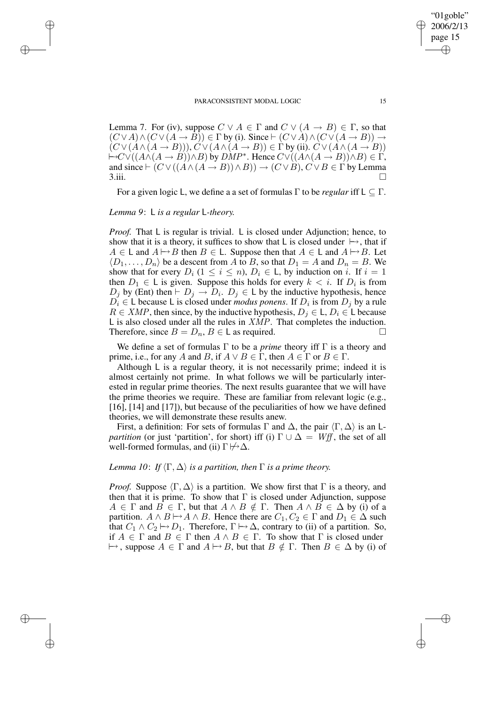Lemma 7. For (iv), suppose  $C \vee A \in \Gamma$  and  $C \vee (A \rightarrow B) \in \Gamma$ , so that  $(C \vee A) \wedge (C \vee (A \rightarrow \overline{B})) \in \Gamma$  by (i). Since  $\vdash (C \vee A) \wedge (C \vee (A \rightarrow B)) \rightarrow$  $(C \vee (A \wedge (A \rightarrow B)))$ ,  $C \vee (A \wedge (A \rightarrow B)) \in \Gamma$  by (ii).  $C \vee (A \wedge (A \rightarrow B))$  $\mapsto$ C∨((A $\wedge$ (A → B)) $\wedge$ B) by DMP<sup>\*</sup>. Hence  $C \vee ((A \wedge (A \rightarrow B)) \wedge B) \in \Gamma$ , and since  $\vdash (C \lor ((A \land (A \to B)) \land B)) \to (C \lor B), C \lor B \in \Gamma$  by Lemma  $3.\n$ ii.  $\Box$ 

For a given logic L, we define a a set of formulas  $\Gamma$  to be *regular* iff  $\mathsf{L} \subset \Gamma$ .

*Lemma 9*: L *is a regular* L*-theory.*

✐

✐

✐

✐

*Proof.* That L is regular is trivial. L is closed under Adjunction; hence, to show that it is a theory, it suffices to show that L is closed under  $\mapsto$ , that if  $A \in L$  and  $A \mapsto B$  then  $B \in L$ . Suppose then that  $A \in L$  and  $A \mapsto B$ . Let  $\langle D_1, \ldots, D_n \rangle$  be a descent from A to B, so that  $D_1 = A$  and  $D_n = B$ . We show that for every  $D_i$   $(1 \leq i \leq n)$ ,  $D_i \in L$ , by induction on i. If  $i = 1$ then  $D_1 \in L$  is given. Suppose this holds for every  $k < i$ . If  $D_i$  is from  $D_j$  by (Ent) then  $\vdash D_j \rightarrow D_i$ .  $D_j \in L$  by the inductive hypothesis, hence  $D_i \in L$  because L is closed under *modus ponens*. If  $D_i$  is from  $D_j$  by a rule  $R \in XMP$ , then since, by the inductive hypothesis,  $D_i \in L$ ,  $D_i \in L$  because L is also closed under all the rules in XMP. That completes the induction. Therefore, since  $B = D_n$ ,  $B \in L$  as required.

We define a set of formulas Γ to be a *prime* theory iff Γ is a theory and prime, i.e., for any A and B, if  $A \lor B \in \Gamma$ , then  $A \in \Gamma$  or  $B \in \Gamma$ .

Although L is a regular theory, it is not necessarily prime; indeed it is almost certainly not prime. In what follows we will be particularly interested in regular prime theories. The next results guarantee that we will have the prime theories we require. These are familiar from relevant logic (e.g., [16], [14] and [17]), but because of the peculiarities of how we have defined theories, we will demonstrate these results anew.

First, a definition: For sets of formulas  $\Gamma$  and  $\Delta$ , the pair  $\langle \Gamma, \Delta \rangle$  is an L*partition* (or just 'partition', for short) iff (i)  $\Gamma \cup \Delta = Wff$ , the set of all well-formed formulas, and (ii)  $\Gamma \not\mapsto \Delta$ .

# *Lemma* 10: *If*  $\langle \Gamma, \Delta \rangle$  *is a partition, then*  $\Gamma$  *is a prime theory.*

*Proof.* Suppose  $\langle \Gamma, \Delta \rangle$  is a partition. We show first that  $\Gamma$  is a theory, and then that it is prime. To show that  $\Gamma$  is closed under Adjunction, suppose  $A \in \Gamma$  and  $B \in \Gamma$ , but that  $A \wedge B \notin \Gamma$ . Then  $A \wedge B \in \Delta$  by (i) of a partition.  $A \wedge B \rightarrow A \wedge B$ . Hence there are  $C_1, C_2 \in \Gamma$  and  $D_1 \in \Delta$  such that  $C_1 \wedge C_2 \mapsto D_1$ . Therefore,  $\Gamma \mapsto \Delta$ , contrary to (ii) of a partition. So, if  $A \in \Gamma$  and  $B \in \Gamma$  then  $A \wedge B \in \Gamma$ . To show that  $\Gamma$  is closed under  $\mapsto$ , suppose  $A \in \Gamma$  and  $A \mapsto B$ , but that  $B \notin \Gamma$ . Then  $B \in \Delta$  by (i) of

✐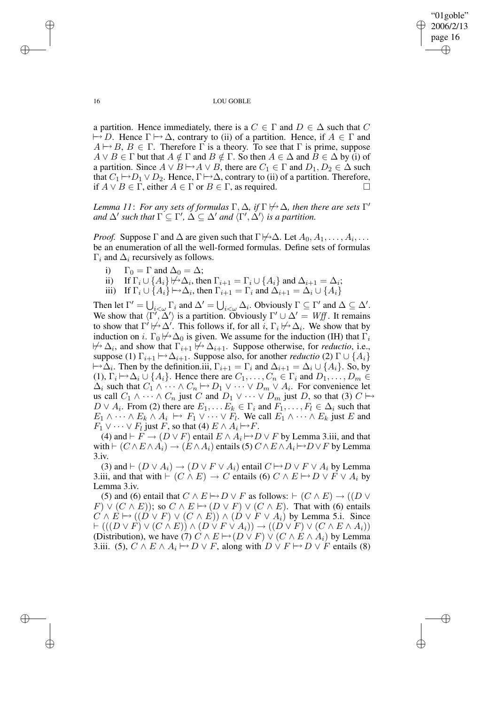✐

#### 16 LOU GOBLE

a partition. Hence immediately, there is a  $C \in \Gamma$  and  $D \in \Delta$  such that C  $\mapsto D$ . Hence  $\Gamma \mapsto \Delta$ , contrary to (ii) of a partition. Hence, if  $A \in \Gamma$  and  $A \mapsto B, B \in \Gamma$ . Therefore  $\Gamma$  is a theory. To see that  $\Gamma$  is prime, suppose  $A \lor B \in \Gamma$  but that  $A \notin \Gamma$  and  $B \notin \Gamma$ . So then  $A \in \Delta$  and  $B \in \Delta$  by (i) of a partition. Since  $A \lor B \rightarrow A \lor B$ , there are  $C_1 \in \Gamma$  and  $D_1, D_2 \in \Delta$  such that  $C_1 \mapsto D_1 \vee D_2$ . Hence,  $\Gamma \mapsto \Delta$ , contrary to (ii) of a partition. Therefore, if  $A \lor B \in \Gamma$ , either  $A \in \Gamma$  or  $B \in \Gamma$ , as required.  $\Box$ 

*Lemma* 11: *For any sets of formulas*  $\Gamma, \Delta$ *, if*  $\Gamma \not\mapsto \Delta$ *, then there are sets*  $\Gamma'$ and  $\Delta'$  such that  $\Gamma \subseteq \Gamma'$ ,  $\Delta \subseteq \Delta'$  and  $\langle \Gamma', \Delta' \rangle$  is a partition.

*Proof.* Suppose  $\Gamma$  and  $\Delta$  are given such that  $\Gamma \not\mapsto \Delta$ . Let  $A_0, A_1, \ldots, A_i, \ldots$ be an enumeration of all the well-formed formulas. Define sets of formulas  $\Gamma_i$  and  $\Delta_i$  recursively as follows.

- i)  $\Gamma_0 = \Gamma$  and  $\Delta_0 = \Delta$ ;
- ii) If  $\Gamma_i \cup \{A_i\} \not\mapsto \Delta_i$ , then  $\Gamma_{i+1} = \Gamma_i \cup \{A_i\}$  and  $\Delta_{i+1} = \Delta_i$ ;
- iii) If  $\Gamma_i \cup \{A_i\} \mapsto \Delta_i$ , then  $\Gamma_{i+1} = \Gamma_i$  and  $\Delta_{i+1} = \Delta_i \cup \{A_i\}$

Then let  $\Gamma' = \bigcup_{i < \omega} \Gamma_i$  and  $\Delta' = \bigcup_{i < \omega} \Delta_i$ . Obviously  $\Gamma \subseteq \Gamma'$  and  $\Delta \subseteq \Delta'$ . We show that  $\langle \Gamma', \Delta' \rangle$  is a partition. Obviously  $\Gamma' \cup \Delta' = Wff$ . It remains to show that  $\Gamma' \not\mapsto \Delta'$ . This follows if, for all i,  $\Gamma_i \not\mapsto \Delta_i$ . We show that by induction on i.  $\Gamma_0 \not\mapsto \Delta_0$  is given. We assume for the induction (IH) that  $\Gamma_i$  $\forall^{\wedge} \Delta_i$ , and show that  $\Gamma_{i+1} \not\mapsto \Delta_{i+1}$ . Suppose otherwise, for *reductio*, i.e., suppose (1)  $\Gamma_{i+1} \mapsto \Delta_{i+1}$ . Suppose also, for another *reductio* (2)  $\Gamma \cup \{A_i\}$  $\mapsto \Delta_i$ . Then by the definition.iii,  $\Gamma_{i+1} = \Gamma_i$  and  $\Delta_{i+1} = \Delta_i \cup \{A_i\}$ . So, by (1),  $\Gamma_i \mapsto \Delta_i \cup \{A_i\}$ . Hence there are  $C_1, \ldots, C_n \in \Gamma_i$  and  $D_1, \ldots, D_m \in$  $\Delta_i$  such that  $C_1 \wedge \cdots \wedge C_n \mapsto D_1 \vee \cdots \vee D_m \vee A_i$ . For convenience let us call  $C_1 \wedge \cdots \wedge C_n$  just C and  $D_1 \vee \cdots \vee D_m$  just D, so that (3)  $C \mapsto$  $D \vee A_i$ . From (2) there are  $E_1, \ldots E_k \in \Gamma_i$  and  $F_1, \ldots, F_l \in \Delta_i$  such that  $E_1 \wedge \cdots \wedge E_k \wedge A_i \mapsto F_1 \vee \cdots \vee F_l$ . We call  $E_1 \wedge \cdots \wedge E_k$  just E and  $F_1 \vee \cdots \vee F_l$  just F, so that (4)  $E \wedge A_i \mapsto F$ .

(4) and  $\vdash F \rightarrow (D \lor F)$  entail  $E \land A_i \rightarrow D \lor F$  by Lemma 3.iii, and that with  $\vdash$   $(C \land E \land A_i) \rightarrow (E \land A_i)$  entails (5)  $C \land E \land A_i \rightarrow D \lor F$  by Lemma 3.iv.

(3) and  $\vdash$  (D  $\lor$  A<sub>i</sub>)  $\rightarrow$  (D  $\lor$  F  $\lor$  A<sub>i</sub>) entail  $C \rightarrow D \lor F \lor A_i$  by Lemma 3.iii, and that with  $\vdash$   $(C \land E) \rightarrow C$  entails (6)  $C \land E \mapsto D \lor F \lor A_i$  by Lemma 3.iv.

(5) and (6) entail that  $C \wedge E \rightarrow D \vee F$  as follows:  $\vdash (C \wedge E) \rightarrow ((D \vee C) \wedge E) \rightarrow ((D \vee C) \wedge F)$  $(F) \vee (C \wedge E)$ ; so  $C \wedge E \mapsto (D \vee F) \vee (C \wedge E)$ . That with (6) entails  $C \wedge E \mapsto ((D \vee F) \vee (C \wedge E)) \wedge (D \vee F \vee A_i)$  by Lemma 5.i. Since  $\vdash ((D \lor F) \lor (C \land E)) \land (D \lor F \lor A_i)) \rightarrow ((D \lor F) \lor (C \land E \land A_i))$ (Distribution), we have (7)  $\ddot{C} \wedge E \mapsto (D \vee F) \vee (C \wedge E \wedge A_i)$  by Lemma 3.iii. (5),  $C \wedge E \wedge A_i \mapsto D \vee F$ , along with  $D \vee F \mapsto D \vee F$  entails (8)

✐

✐

✐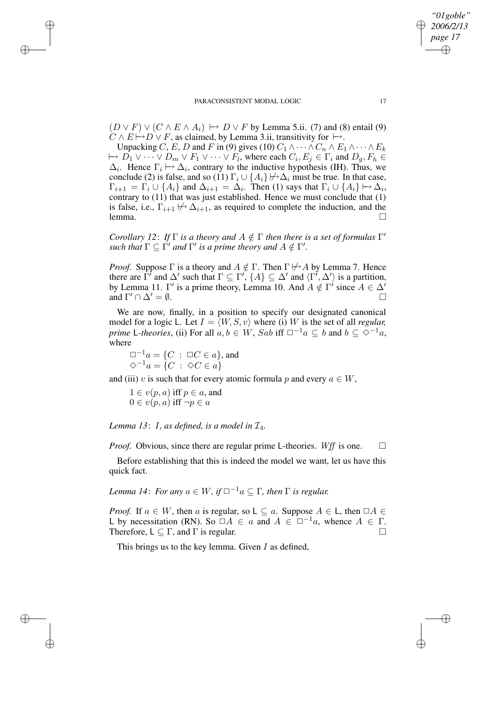$(D \vee F) \vee (C \wedge E \wedge A_i) \mapsto D \vee F$  by Lemma 5.ii. (7) and (8) entail (9)  $C \wedge E \mapsto D \vee F$ , as claimed, by Lemma 3.ii, transitivity for  $\mapsto$ .

Unpacking C, E, D and F in (9) gives (10)  $C_1 \wedge \cdots \wedge C_n \wedge E_1 \wedge \cdots \wedge E_k$  $\mapsto D_1 \vee \cdots \vee D_m \vee F_1 \vee \cdots \vee F_l$ , where each  $C_i, E_j \in \Gamma_i$  and  $D_g, F_h \in$  $\Delta_i$ . Hence  $\Gamma_i \mapsto \Delta_i$ , contrary to the inductive hypothesis (IH). Thus, we conclude (2) is false, and so (11)  $\Gamma_i \cup \{A_i\} \not\mapsto \Delta_i$  must be true. In that case,  $\Gamma_{i+1} = \Gamma_i \cup \{A_i\}$  and  $\Delta_{i+1} = \Delta_i$ . Then (1) says that  $\Gamma_i \cup \{A_i\} \mapsto \Delta_i$ , contrary to (11) that was just established. Hence we must conclude that (1) is false, i.e.,  $\Gamma_{i+1} \not\mapsto \Delta_{i+1}$ , as required to complete the induction, and the lemma.  $l$ emma.  $\Box$ 

*Corollary* 12: *If*  $\Gamma$  *is a theory and*  $A \notin \Gamma$  *then there is a set of formulas*  $\Gamma'$  $\int$  *such that*  $\Gamma \subseteq \Gamma'$  *and*  $\Gamma'$  *is a prime theory and*  $A \notin \Gamma'$ .

*Proof.* Suppose  $\Gamma$  is a theory and  $A \notin \Gamma$ . Then  $\Gamma \not\mapsto A$  by Lemma 7. Hence there are  $\Gamma'$  and  $\Delta'$  such that  $\Gamma \subseteq \Gamma'$ ,  $\{A\} \subseteq \Delta'$  and  $\langle \Gamma', \Delta' \rangle$  is a partition, by Lemma 11.  $\Gamma'$  is a prime theory, Lemma 10. And  $A \notin \Gamma'$  since  $A \in \Delta'$ and  $\Gamma' \cap \Delta' = \emptyset$ .  $\alpha' \cap \Delta' = \emptyset.$ 

We are now, finally, in a position to specify our designated canonical model for a logic L. Let  $I = \langle W, S, v \rangle$  where (i) W is the set of all *regular*, *prime* L-theories, (ii) For all  $a, b \in W$ , Sab iff  $\square^{-1}a \subseteq b$  and  $b \subseteq \diamond^{-1}a$ , where

 $\Box^{-1}a = \{C : \Box C \in a\}$ , and  $\diamondsuit^{-1}a = \{C \; : \; \diamondsuit C \in a\}$ 

and (iii) v is such that for every atomic formula p and every  $a \in W$ ,

 $1 \in v(p, a)$  iff  $p \in a$ , and  $0 \in v(p, a)$  iff  $\neg p \in a$ 

✐

✐

✐

✐

*Lemma* 13: I, *as defined, is a model in*  $\mathcal{I}_4$ *.* 

*Proof.* Obvious, since there are regular prime L-theories. Wff is one.  $\square$ 

Before establishing that this is indeed the model we want, let us have this quick fact.

*Lemma* 14: *For any*  $a \in W$ , *if*  $\Box^{-1}a \subset \Gamma$ , *then*  $\Gamma$  *is regular.* 

*Proof.* If  $a \in W$ , then a is regular, so  $L \subseteq a$ . Suppose  $A \in L$ , then  $\Box A \in$ L by necessitation (RN). So  $\Box A \in a$  and  $A \in \Box^{-1}a$ , whence  $A \in \Gamma$ . Therefore,  $L \subseteq \Gamma$ , and  $\Gamma$  is regular.

This brings us to the key lemma. Given  $I$  as defined,

*"01goble" 2006/2/13 page 17*

✐

✐

✐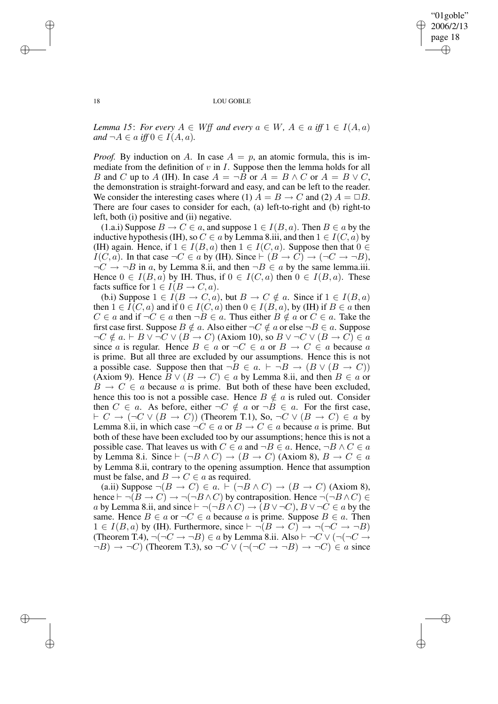✐

#### 18 LOU GOBLE

*Lemma* 15: *For every*  $A \in W$ ff *and every*  $a \in W$ ,  $A \in a$  *iff*  $1 \in I(A, a)$ *and*  $\neg A \in a$  *iff*  $0 \in I(A, a)$ *.* 

*Proof.* By induction on A. In case  $A = p$ , an atomic formula, this is immediate from the definition of  $v$  in  $I$ . Suppose then the lemma holds for all B and C up to A (IH). In case  $A = \neg B$  or  $A = B \land C$  or  $A = B \lor C$ , the demonstration is straight-forward and easy, and can be left to the reader. We consider the interesting cases where (1)  $A = B \rightarrow C$  and (2)  $A = \Box B$ . There are four cases to consider for each, (a) left-to-right and (b) right-to left, both (i) positive and (ii) negative.

(1.a.i) Suppose  $B \to C \in a$ , and suppose  $1 \in I(B, a)$ . Then  $B \in a$  by the inductive hypothesis (IH), so  $C \in a$  by Lemma 8.iii, and then  $1 \in I(C, a)$  by (IH) again. Hence, if  $1 \in I(B, a)$  then  $1 \in I(C, a)$ . Suppose then that  $0 \in$  $I(C, a)$ . In that case  $\neg C \in a$  by (IH). Since  $\vdash (B \rightarrow C) \rightarrow (\neg C \rightarrow \neg B)$ ,  $\neg C \rightarrow \neg B$  in a, by Lemma 8.ii, and then  $\neg B \in a$  by the same lemma.iii. Hence  $0 \in I(B, a)$  by IH. Thus, if  $0 \in I(C, a)$  then  $0 \in I(B, a)$ . These facts suffice for  $1 \in I(B \to C, a)$ .

(b.i) Suppose  $1 \in I(B \to C, a)$ , but  $B \to C \notin a$ . Since if  $1 \in I(B, a)$ then  $1 \in I(C, a)$  and if  $0 \in I(C, a)$  then  $0 \in I(B, a)$ , by (IH) if  $B \in a$  then  $C \in a$  and if  $\neg C \in a$  then  $\neg B \in a$ . Thus either  $B \notin a$  or  $C \in a$ . Take the first case first. Suppose  $B \notin a$ . Also either  $\neg C \notin a$  or else  $\neg B \in a$ . Suppose  $\neg C \notin a \vdash B \lor \neg C \lor (B \to C)$  (Axiom 10), so  $B \lor \neg C \lor (B \to C) \in a$ since a is regular. Hence  $B \in a$  or  $\neg C \in a$  or  $B \rightarrow C \in a$  because a is prime. But all three are excluded by our assumptions. Hence this is not a possible case. Suppose then that  $\neg B \in a$ .  $\vdash \neg B \rightarrow (B \lor (B \rightarrow C))$ (Axiom 9). Hence  $B \vee (B \to C) \in a$  by Lemma 8.ii, and then  $B \in a$  or  $B \to C \in a$  because a is prime. But both of these have been excluded, hence this too is not a possible case. Hence  $B \notin a$  is ruled out. Consider then  $C \in a$ . As before, either  $\neg C \notin a$  or  $\neg B \in a$ . For the first case,  $\vdash C \rightarrow (\neg C \lor (B \rightarrow C))$  (Theorem T.1), So,  $\neg C \lor (B \rightarrow C) \in a$  by Lemma 8.ii, in which case  $\neg C \in a$  or  $B \to C \in a$  because a is prime. But both of these have been excluded too by our assumptions; hence this is not a possible case. That leaves us with  $C \in a$  and  $\neg B \in a$ . Hence,  $\neg B \land C \in a$ by Lemma 8.i. Since  $\vdash (\neg B \land C) \rightarrow (B \rightarrow C)$  (Axiom 8),  $B \rightarrow C \in a$ by Lemma 8.ii, contrary to the opening assumption. Hence that assumption must be false, and  $B \to C \in a$  as required.

(a.ii) Suppose  $\neg(B \to C) \in a$ .  $\vdash (\neg B \land C) \to (B \to C)$  (Axiom 8), hence  $\vdash \neg(B \to C) \to \neg(\neg B \land C)$  by contraposition. Hence  $\neg(\neg B \land C) \in$ a by Lemma 8.ii, and since  $\vdash \neg(\neg B \land C) \rightarrow (B \lor \neg C)$ ,  $B \lor \neg C \in a$  by the same. Hence  $B \in a$  or  $\neg C \in a$  because a is prime. Suppose  $B \in a$ . Then  $1 \in I(B, a)$  by (IH). Furthermore, since  $\vdash \neg(B \to C) \to \neg(\neg C \to \neg B)$ (Theorem T.4),  $\neg(\neg C \rightarrow \neg B) \in a$  by Lemma 8.ii. Also  $\vdash \neg C \lor (\neg (\neg C \rightarrow \neg B) \in a$  by Lemma 8.ii.  $\neg B$ )  $\rightarrow \neg C$ ) (Theorem T.3), so  $\neg C \vee (\neg (\neg C \rightarrow \neg B) \rightarrow \neg C) \in a$  since

✐

✐

✐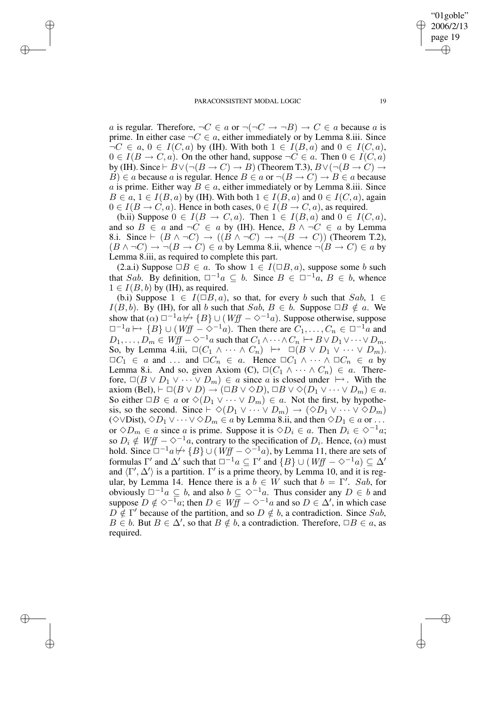✐

✐

✐

"01goble" 2006/2/13 page 19

✐

✐

✐

✐

a is regular. Therefore,  $\neg C \in a$  or  $\neg (\neg C \rightarrow \neg B) \rightarrow C \in a$  because a is prime. In either case  $\neg C \in \alpha$ , either immediately or by Lemma 8.iii. Since  $\neg C \in a, 0 \in I(C, a)$  by (IH). With both  $1 \in I(B, a)$  and  $0 \in I(C, a)$ ,  $0 \in I(B \to C, a)$ . On the other hand, suppose  $\neg C \in a$ . Then  $0 \in I(C, a)$ by (IH). Since  $\vdash B \vee (\neg (B \rightarrow C) \rightarrow B)$  (Theorem T.3),  $B \vee (\neg (B \rightarrow C) \rightarrow$ B)  $\in$  a because a is regular. Hence  $B \in a$  or  $\neg(B \to C) \to B \in a$  because a is prime. Either way  $B \in a$ , either immediately or by Lemma 8.iii. Since  $B \in a, 1 \in I(B, a)$  by (IH). With both  $1 \in I(B, a)$  and  $0 \in I(C, a)$ , again  $0 \in I(B \to C, a)$ . Hence in both cases,  $0 \in I(B \to C, a)$ , as required.

(b.ii) Suppose  $0 \in I(B \to C, a)$ . Then  $1 \in I(B, a)$  and  $0 \in I(C, a)$ , and so  $B \in a$  and  $\neg C \in a$  by (IH). Hence,  $B \land \neg C \in a$  by Lemma 8.i. Since  $\vdash (B \land \neg C) \rightarrow ((B \land \neg C) \rightarrow \neg (B \rightarrow C))$  (Theorem T.2),  $(B \land \neg C) \rightarrow \neg (B \rightarrow C) \in \alpha$  by Lemma 8.ii, whence  $\neg (B \rightarrow C) \in \alpha$  by Lemma 8.iii, as required to complete this part.

(2.a.i) Suppose  $\Box B \in a$ . To show  $1 \in I(\Box B, a)$ , suppose some b such that Sab. By definition,  $\Box^{-1}a \subseteq b$ . Since  $B \in \Box^{-1}a$ ,  $B \in b$ , whence  $1 \in I(B, b)$  by (IH), as required.

(b.i) Suppose  $1 \in I(\square B, a)$ , so that, for every b such that  $Sab$ ,  $1 \in$  $I(B, b)$ . By (IH), for all b such that  $Sab$ ,  $B \in b$ . Suppose  $\Box B \notin a$ . We show that  $(\alpha) \Box^{-1}a \not\mapsto {B} \cup (Wff - \Diamond^{-1}a)$ . Suppose otherwise, suppose  $\Box^{-1}a \mapsto \{B\} \cup (Wff - \diamond^{-1}a)$ . Then there are  $C_1, \ldots, C_n \in \Box^{-1}a$  and  $D_1, \ldots, D_m \in W\text{ iff } -\infty^{-1}a \text{ such that } C_1 \wedge \cdots \wedge C_n \mapsto B \vee D_1 \vee \cdots \vee D_m.$ So, by Lemma 4.iii,  $\square(C_1 \wedge \cdots \wedge C_n) \mapsto \square(B \vee D_1 \vee \cdots \vee D_m).$  $\Box C_1 \in a$  and ... and  $\Box C_n \in a$ . Hence  $\Box C_1 \wedge \cdots \wedge \Box C_n \in a$  by Lemma 8.i. And so, given Axiom (C),  $\Box(C_1 \land \cdots \land C_n) \in a$ . Therefore,  $\Box(B \lor D_1 \lor \cdots \lor D_m) \in a$  since a is closed under  $\vdash$ . With the axiom (Bel),  $\vdash \Box(B \lor D) \rightarrow (\Box B \lor \Diamond D)$ ,  $\Box B \lor \Diamond (D_1 \lor \cdots \lor D_m) \in a$ . So either  $\Box B \in a$  or  $\Diamond (D_1 \lor \cdots \lor D_m) \in a$ . Not the first, by hypothesis, so the second. Since  $\vdash \Diamond (D_1 \lor \cdots \lor D_m) \rightarrow (\Diamond D_1 \lor \cdots \lor \Diamond D_m)$ (◇∨Dist), ◇ $D_1 \vee \cdots \vee \lozenge D_m \in a$  by Lemma 8.ii, and then  $\lozenge D_1 \in a$  or ... or  $\diamond D_m \in a$  since a is prime. Suppose it is  $\diamond D_i \in a$ . Then  $D_i \in \diamond^{-1}a$ ; so  $D_i \notin Wff - \diamond^{-1}a$ , contrary to the specification of  $D_i$ . Hence,  $(\alpha)$  must hold. Since  $\Box^{-1}a \not\mapsto {B} \cup (Wff - \Diamond^{-1}a)$ , by Lemma 11, there are sets of formulas  $\Gamma'$  and  $\Delta'$  such that  $\Box^{-1}a \subseteq \Gamma'$  and  $\{B\} \cup (Wff \to \Diamond^{-1}a) \subseteq \Delta'$ and  $\langle \Gamma', \Delta' \rangle$  is a partition.  $\Gamma'$  is a prime theory, by Lemma 10, and it is regular, by Lemma 14. Hence there is a  $b \in W$  such that  $b = \Gamma'$ . Sab, for obviously  $\Box^{-1}a \subseteq b$ , and also  $b \subseteq \Diamond^{-1}a$ . Thus consider any  $D \in b$  and suppose  $D \notin \diamond^{-1}a$ ; then  $D \in W/f$  –  $\diamond^{-1}a$  and so  $D \in \triangle'$ , in which case  $D \notin \Gamma'$  because of the partition, and so  $D \notin b$ , a contradiction. Since Sab,  $B \in b$ . But  $B \in \Delta'$ , so that  $B \notin b$ , a contradiction. Therefore,  $\Box B \in a$ , as required.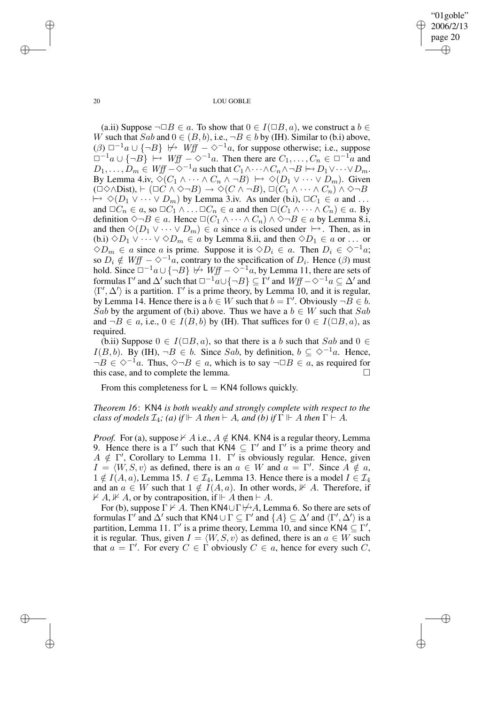"01goble" 2006/2/13 page 20 ✐ ✐

✐

✐

20 LOU GOBLE

(a.ii) Suppose  $\neg \Box B \in a$ . To show that  $0 \in I(\Box B, a)$ , we construct a  $b \in$ W such that  $Sab$  and  $0 \in (B, b)$ , i.e.,  $\neg B \in b$  by (IH). Similar to (b.i) above, ( $\beta$ )  $\Box^{-1}a \cup \{\neg B\}$   $\forall \neg B$  *Wff*  $-\Diamond^{-1}a$ , for suppose otherwise; i.e., suppose  $\Box^{-1}a \cup {\overline{\{A\}}} \mapsto Wff - \diamondsuit^{-1}a$ . Then there are  $C_1, \ldots, C_n \in \Box^{-1}a$  and  $D_1, \ldots, D_m \in Wff \sim \diamond^{-1}a$  such that  $C_1 \wedge \cdots \wedge C_n \wedge \neg B \mapsto D_1 \vee \cdots \vee D_m$ . By Lemma 4.iv,  $\Diamond(C_1 \land \cdots \land C_n \land \neg B) \mapsto \Diamond(D_1 \lor \cdots \lor D_m)$ . Given  $(\Box \Diamond \land \Box$ bist),  $\vdash (\Box C \land \Diamond \neg B) \rightarrow \Diamond (C \land \neg B), \Box (C_1 \land \cdots \land C_n) \land \Diamond \neg B)$  $\mapsto \Diamond(D_1 \vee \cdots \vee D_m)$  by Lemma 3.iv. As under (b.i),  $\Box C_1 \in \alpha$  and ... and  $\Box C_n \in a$ , so  $\Box C_1 \wedge \ldots \Box C_n \in a$  and then  $\Box(C_1 \wedge \cdots \wedge C_n) \in a$ . By definition  $\Diamond \neg B \in a$ . Hence  $\Box(\overline{C_1} \land \cdots \land C_n) \land \Diamond \neg B \in a$  by Lemma 8.i, and then  $\Diamond (D_1 \lor \cdots \lor D_m) \in a$  since a is closed under  $\mapsto$ . Then, as in (b.i)  $\Diamond D_1 \lor \cdots \lor \Diamond D_m \in a$  by Lemma 8.ii, and then  $\Diamond D_1 \in a$  or ... or  $\diamond D_m \in \mathfrak{a}$  since  $\mathfrak{a}$  is prime. Suppose it is  $\diamond D_i \in \mathfrak{a}$ . Then  $D_i \in \diamond^{-1} \mathfrak{a}$ ; so  $\overline{D}_i \notin Wff - \diamond^{-1}a$ , contrary to the specification of  $D_i$ . Hence ( $\beta$ ) must hold. Since  $\Box^{-1}a \cup \{\neg B\} \not\mapsto Wff - \Diamond^{-1}a$ , by Lemma 11, there are sets of formulas  $\Gamma'$  and  $\Delta'$  such that  $\Box^{-1}a \cup \{\neg B\} \subseteq \Gamma'$  and  $Wff - \Diamond^{-1}a \subseteq \Delta'$  and  $\langle \Gamma', \Delta' \rangle$  is a partition. Γ' is a prime theory, by Lemma 10, and it is regular, by Lemma 14. Hence there is a  $b \in W$  such that  $b = \Gamma'$ . Obviously  $\neg B \in b$ . Sab by the argument of (b.i) above. Thus we have a  $b \in W$  such that Sab and  $\neg B \in a$ , i.e.,  $0 \in I(B, b)$  by (IH). That suffices for  $0 \in I(\Box B, a)$ , as required.

(b.ii) Suppose  $0 \in I(\Box B, a)$ , so that there is a b such that Sab and  $0 \in$  $I(B, b)$ . By (IH), ¬B ∈ b. Since Sab, by definition,  $b \subseteq \Diamond^{-1}a$ . Hence,  $\neg B \in \Diamond^{-1}a$ . Thus,  $\Diamond \neg B \in a$ , which is to say  $\neg \Box B \in a$ , as required for this case, and to complete the lemma.

From this completeness for  $L = KN4$  follows quickly.

*Theorem 16*: KN4 *is both weakly and strongly complete with respect to the class of models*  $\mathcal{I}_4$ ; *(a) if*  $\Vdash$  *A then*  $\vdash$  *A*, *and (b) if*  $\Gamma \Vdash$  *A then*  $\Gamma \vdash$  *A*.

*Proof.* For (a), suppose  $\nvdash A$  i.e.,  $A \notin KN4$ . KN4 is a regular theory, Lemma 9. Hence there is a Γ' such that  $KN4 \subseteq \Gamma'$  and  $\Gamma'$  is a prime theory and  $A \notin \Gamma'$ , Corollary to Lemma 11.  $\Gamma'$  is obviously regular. Hence, given  $I = \langle W, S, v \rangle$  as defined, there is an  $a \in W$  and  $a = \Gamma'$ . Since  $A \notin a$ ,  $1 \notin I(A, a)$ , Lemma 15.  $I \in \mathcal{I}_4$ , Lemma 13. Hence there is a model  $I \in \mathcal{I}_4$ and an  $a \in W$  such that  $1 \notin I(A, a)$ . In other words,  $\nvdash A$ . Therefore, if  $\nvdash A, \nvdash A$ , or by contraposition, if  $\Vdash A$  then  $\vdash A$ .

For (b), suppose  $\Gamma \nvdash A$ . Then KN4∪ $\Gamma \nvdash A$ , Lemma 6. So there are sets of formulas Γ' and  $\Delta'$  such that KN4  $\cup$  Γ  $\subseteq$  Γ' and  $\{A\} \subseteq \Delta'$  and  $\langle \Gamma', \Delta' \rangle$  is a partition, Lemma 11.  $\Gamma'$  is a prime theory, Lemma 10, and since KN4  $\subseteq \Gamma'$ , it is regular. Thus, given  $I = \langle W, S, v \rangle$  as defined, there is an  $a \in W$  such that  $a = \Gamma'$ . For every  $C \in \Gamma$  obviously  $C \in a$ , hence for every such C,

✐

✐

✐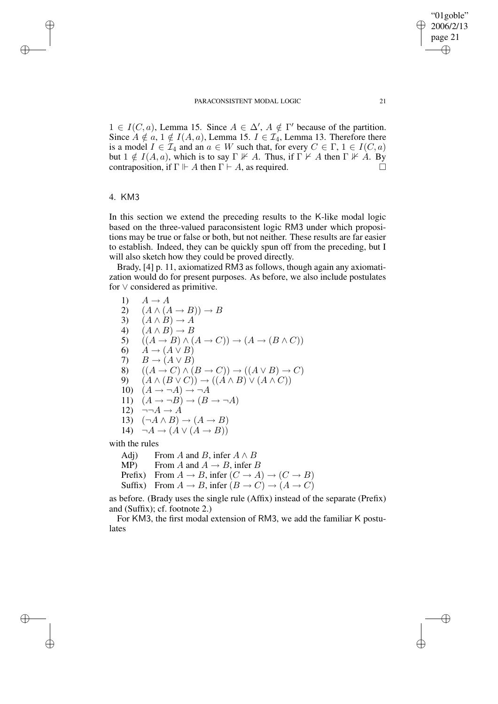$1 \in I(C, a)$ , Lemma 15. Since  $A \in \Delta'$ ,  $A \notin \Gamma'$  because of the partition. Since  $A \notin a$ ,  $1 \notin I(A, a)$ , Lemma 15.  $I \in \mathcal{I}_4$ , Lemma 13. Therefore there is a model  $I \in \mathcal{I}_4$  and an  $a \in W$  such that, for every  $C \in \Gamma$ ,  $1 \in I(C, a)$ but  $1 \notin I(A, a)$ , which is to say  $\Gamma \nvdash A$ . Thus, if  $\Gamma \nvdash A$  then  $\Gamma \nvdash A$ . By contraposition, if  $\Gamma \Vdash A$  then  $\Gamma \vdash A$ , as required.

## 4. KM3

✐

✐

✐

✐

In this section we extend the preceding results to the K-like modal logic based on the three-valued paraconsistent logic RM3 under which propositions may be true or false or both, but not neither. These results are far easier to establish. Indeed, they can be quickly spun off from the preceding, but I will also sketch how they could be proved directly.

Brady, [4] p. 11, axiomatized RM3 as follows, though again any axiomatization would do for present purposes. As before, we also include postulates for ∨ considered as primitive.

1)  $A \rightarrow A$ 2)  $(A \wedge (A \rightarrow B)) \rightarrow B$ 3)  $(A \wedge B) \rightarrow A$ 4)  $(A \wedge B) \rightarrow B$ 5)  $((A \rightarrow B) \land (A \rightarrow C)) \rightarrow (A \rightarrow (B \land C))$ 6)  $A \rightarrow (A \vee B)$ 7)  $B \to (A \lor B)$ 8)  $((A \rightarrow C) \land (B \rightarrow C)) \rightarrow ((A \lor B) \rightarrow C)$ 9)  $(A \wedge (B \vee C)) \rightarrow ((A \wedge B) \vee (A \wedge C))$ 10)  $(A \rightarrow \neg A) \rightarrow \neg A$ 11)  $(A \rightarrow \neg B) \rightarrow (B \rightarrow \neg A)$ 12)  $\neg\neg A \rightarrow A$ 13)  $(\neg A \land B) \rightarrow (A \rightarrow B)$ 14)  $\neg A \rightarrow (A \lor (A \rightarrow B))$ 

with the rules

Adj) From A and B, infer  $A \wedge B$ MP) From A and  $A \rightarrow B$ , infer B

Prefix) From  $A \to B$ , infer  $(C \to A) \to (C \to B)$ 

Suffix) From  $A \to B$ , infer  $(B \to C) \to (A \to C)$ 

as before. (Brady uses the single rule (Affix) instead of the separate (Prefix) and (Suffix); cf. footnote 2.)

For KM3, the first modal extension of RM3, we add the familiar K postulates

"01goble" 2006/2/13 page 21

✐

✐

✐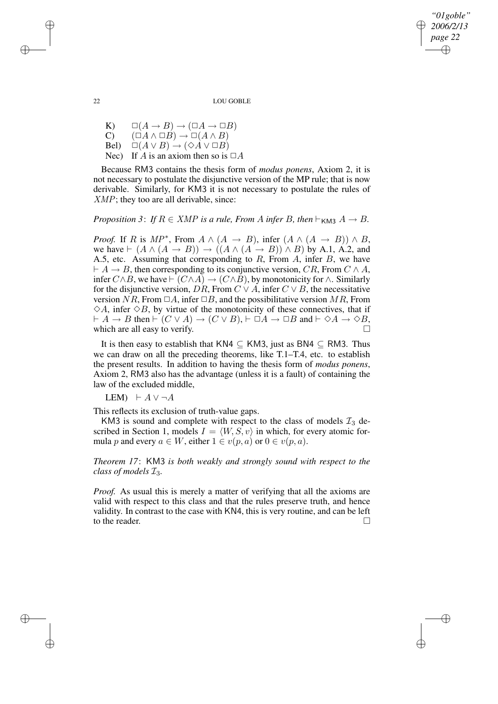22 LOU GOBLE

*"01goble" 2006/2/13 page 22*

✐

✐

✐

✐

K)  $\square(A \rightarrow B) \rightarrow (\square A \rightarrow \square B)$  $(C)$   $(\Box A \land \Box B) \rightarrow \Box (A \land B)$ Bel)  $\square(A \vee B) \rightarrow (\lozenge A \vee \square B)$ Nec) If A is an axiom then so is  $\Box A$ 

Because RM3 contains the thesis form of *modus ponens*, Axiom 2, it is not necessary to postulate the disjunctive version of the MP rule; that is now derivable. Similarly, for KM3 it is not necessary to postulate the rules of XMP; they too are all derivable, since:

*Proposition* 3: *If*  $R \in XMP$  *is a rule, From A infer B, then*  $\vdash_{KMS} A \rightarrow B$ *.* 

*Proof.* If R is  $MP^*$ , From  $A \wedge (A \rightarrow B)$ , infer  $(A \wedge (A \rightarrow B)) \wedge B$ , we have  $\vdash (A \land (A \rightarrow B)) \rightarrow ((A \land (A \rightarrow B)) \land B)$  by A.1, A.2, and A.5, etc. Assuming that corresponding to  $R$ , From  $A$ , infer  $B$ , we have  $\vdash A \rightarrow B$ , then corresponding to its conjunctive version, CR, From C  $\land A$ , infer  $C \wedge B$ , we have  $\vdash (C \wedge A) \rightarrow (C \wedge B)$ , by monotonicity for  $\wedge$ . Similarly for the disjunctive version,  $\overline{DR}$ , From  $\overline{C} \vee A$ , infer  $\overline{C} \vee \overline{B}$ , the necessitative version  $NR$ , From  $\Box A$ , infer  $\Box B$ , and the possibilitative version MR, From  $\diamond A$ , infer  $\diamond B$ , by virtue of the monotonicity of these connectives, that if  $\vdash A \to B$  then  $\vdash (C \lor A) \to (C \lor B)$ ,  $\vdash \Box A \to \Box B$  and  $\vdash \Diamond A \to \Diamond B$ , which are all easy to verify.

It is then easy to establish that KN4  $\subset$  KM3, just as BN4  $\subset$  RM3. Thus we can draw on all the preceding theorems, like T.1–T.4, etc. to establish the present results. In addition to having the thesis form of *modus ponens*, Axiom 2, RM3 also has the advantage (unless it is a fault) of containing the law of the excluded middle,

LEM)  $\vdash A \lor \neg A$ 

This reflects its exclusion of truth-value gaps.

KM3 is sound and complete with respect to the class of models  $\mathcal{I}_3$  described in Section 1, models  $I = \langle W, S, v \rangle$  in which, for every atomic formula p and every  $a \in W$ , either  $1 \in v(p, a)$  or  $0 \in v(p, a)$ .

*Theorem 17*: KM3 *is both weakly and strongly sound with respect to the class of models* I3*.*

*Proof.* As usual this is merely a matter of verifying that all the axioms are valid with respect to this class and that the rules preserve truth, and hence validity. In contrast to the case with KN4, this is very routine, and can be left to the reader.

✐

✐

✐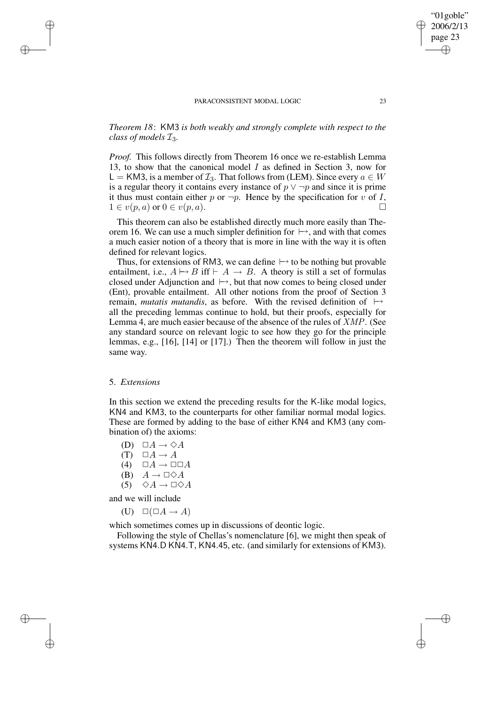*Theorem 18*: KM3 *is both weakly and strongly complete with respect to the class of models* I3*.*

*Proof.* This follows directly from Theorem 16 once we re-establish Lemma 13, to show that the canonical model  $I$  as defined in Section 3, now for L = KM3, is a member of  $\mathcal{I}_3$ . That follows from (LEM). Since every  $a \in W$ is a regular theory it contains every instance of  $p \vee \neg p$  and since it is prime it thus must contain either p or  $\neg p$ . Hence by the specification for v of I,  $1 \in v(p, a)$  or  $0 \in v(p, a)$ .

This theorem can also be established directly much more easily than Theorem 16. We can use a much simpler definition for  $\mapsto$ , and with that comes a much easier notion of a theory that is more in line with the way it is often defined for relevant logics.

Thus, for extensions of RM3, we can define  $\mapsto$  to be nothing but provable entailment, i.e.,  $A \mapsto B$  iff  $\vdash A \to B$ . A theory is still a set of formulas closed under Adjunction and  $\mapsto$ , but that now comes to being closed under (Ent), provable entailment. All other notions from the proof of Section 3 remain, *mutatis mutandis*, as before. With the revised definition of  $\mapsto$ all the preceding lemmas continue to hold, but their proofs, especially for Lemma 4, are much easier because of the absence of the rules of XMP. (See any standard source on relevant logic to see how they go for the principle lemmas, e.g., [16], [14] or [17].) Then the theorem will follow in just the same way.

### 5. *Extensions*

✐

✐

✐

✐

In this section we extend the preceding results for the K-like modal logics, KN4 and KM3, to the counterparts for other familiar normal modal logics. These are formed by adding to the base of either KN4 and KM3 (any combination of) the axioms:

- (D)  $\Box A \rightarrow \Diamond A$
- $(T) \square A \rightarrow A$
- (4)  $\Box A \rightarrow \Box \Box A$
- (B)  $A \rightarrow \Box \Diamond A$
- $(5)$   $\diamond A \rightarrow \square \diamond A$

and we will include

(U)  $\square(\square A \rightarrow A)$ 

which sometimes comes up in discussions of deontic logic.

Following the style of Chellas's nomenclature [6], we might then speak of systems KN4.D KN4.T, KN4.45, etc. (and similarly for extensions of KM3).

"01goble" 2006/2/13 page 23

✐

✐

✐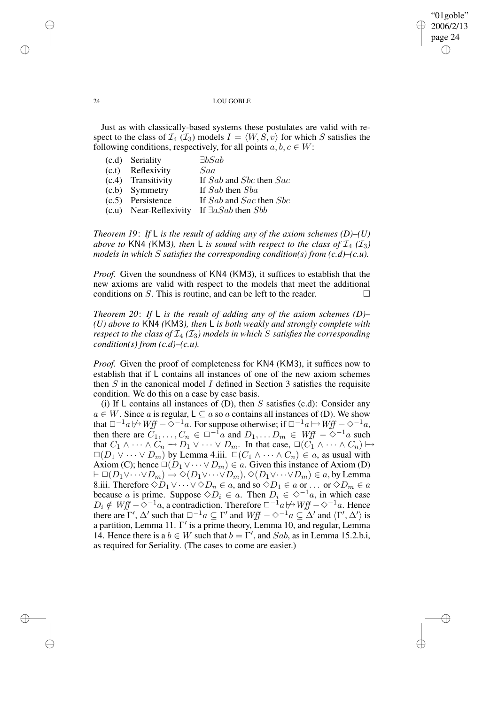✐

#### 24 LOU GOBLE

Just as with classically-based systems these postulates are valid with respect to the class of  $\mathcal{I}_4(\mathcal{I}_3)$  models  $I = \langle W, S, v \rangle$  for which S satisfies the following conditions, respectively, for all points  $a, b, c \in W$ :

| (c.d) Seriality        | $\exists b$ Sab               |
|------------------------|-------------------------------|
| (c.t) Reflexivity      | Saa                           |
| (c.4) Transitivity     | If Sab and Sbc then Sac       |
| (c.b) Symmetry         | If Sab then Sba               |
| (c.5) Persistence      | If Sab and Sac then Sbc       |
| (c.u) Near-Reflexivity | If $\exists a Sab$ then $Sbb$ |

*Theorem 19*: *If* L *is the result of adding any of the axiom schemes (D)–(U) above to* KN4 *(KM3), then* L *is sound with respect to the class of*  $\mathcal{I}_4$  ( $\mathcal{I}_3$ ) *models in which* S *satisfies the corresponding condition(s) from (c.d)–(c.u).*

*Proof.* Given the soundness of KN4 (KM3), it suffices to establish that the new axioms are valid with respect to the models that meet the additional conditions on S. This is routine, and can be left to the reader.  $\Box$ 

*Theorem 20*: *If* L *is the result of adding any of the axiom schemes (D)– (U) above to* KN4 *(*KM3*), then* L *is both weakly and strongly complete with respect to the class of*  $\mathcal{I}_4$  ( $\mathcal{I}_3$ ) *models in which* S *satisfies the corresponding condition(s) from (c.d)–(c.u).*

*Proof.* Given the proof of completeness for KN4 (KM3), it suffices now to establish that if L contains all instances of one of the new axiom schemes then  $S$  in the canonical model  $I$  defined in Section 3 satisfies the requisite condition. We do this on a case by case basis.

(i) If L contains all instances of  $(D)$ , then S satisfies  $(c.d)$ : Consider any  $a \in W$ . Since a is regular,  $L \subseteq a$  so a contains all instances of (D). We show that  $\Box^{-1}a \not\mapsto Wff - \Diamond^{-1}a$ . For suppose otherwise; if  $\Box^{-1}a \mapsto Wff - \Diamond^{-1}a$ , then there are  $C_1, \ldots, C_n \in \Box^{-1}a$  and  $D_1, \ldots, D_m \in Wff - \Diamond^{-1}a$  such that  $C_1 \wedge \cdots \wedge C_n \mapsto D_1 \vee \cdots \vee D_m$ . In that case,  $\Box(C_1 \wedge \cdots \wedge C_n) \mapsto$  $\Box(D_1 \lor \cdots \lor D_m)$  by Lemma 4.iii.  $\Box(C_1 \land \cdots \land C_n) \in a$ , as usual with Axiom (C); hence  $\Box(D_1 \lor \cdots \lor D_m) \in a$ . Given this instance of Axiom (D)  $\vdash \Box(D_1 \lor \cdots \lor D_m) \rightarrow \Diamond(D_1 \lor \cdots \lor D_m), \Diamond(D_1 \lor \cdots \lor D_m) \in \mathfrak{a}$ , by Lemma 8.iii. Therefore  $\Diamond D_1 \vee \cdots \vee \Diamond D_n \in a$ , and so  $\Diamond D_1 \in a$  or ... or  $\Diamond D_m \in a$ because a is prime. Suppose  $\diamondsuit D_i \in a$ . Then  $D_i \in \diamondsuit^{-1}a$ , in which case  $D_i \notin Wff - \diamondsuit^{-1}a$ , a contradiction. Therefore  $\Box^{-1}a \not\mapsto Wff - \diamondsuit^{-1}a$ . Hence there are Γ',  $\Delta'$  such that  $\square^{-1}a \subseteq \Gamma'$  and  $Wff - \diamond^{-1}a \subseteq \Delta'$  and  $\langle \Gamma', \Delta' \rangle$  is a partition, Lemma 11.  $\Gamma'$  is a prime theory, Lemma 10, and regular, Lemma 14. Hence there is a  $b \in W$  such that  $b = \Gamma'$ , and Sab, as in Lemma 15.2.b.i, as required for Seriality. (The cases to come are easier.)

✐

✐

✐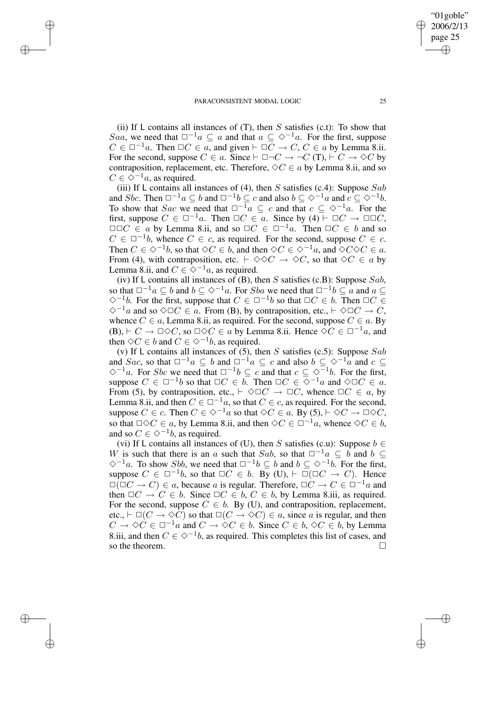✐

✐

✐

(ii) If L contains all instances of  $(T)$ , then S satisfies (c.t): To show that Saa, we need that  $\Box^{-1}a \subseteq a$  and that  $a \subseteq \Diamond^{-1}a$ . For the first, suppose  $C \in \Box^{-1}a$ . Then  $\Box C \in a$ , and given  $\vdash \Box C \rightarrow C$ ,  $C \in a$  by Lemma 8.ii. For the second, suppose  $C \in a$ . Since  $\vdash \Box \neg C \rightarrow \neg C$  (T),  $\vdash C \rightarrow \Diamond C$  by contraposition, replacement, etc. Therefore,  $\Diamond C \in a$  by Lemma 8.ii, and so  $C \in \Diamond^{-1}a$ , as required.

(iii) If L contains all instances of (4), then S satisfies (c.4): Suppose Sab and Sbc. Then  $\square^{-1}a \subseteq b$  and  $\square^{-1}b \subseteq c$  and also  $b \subseteq \diamond^{-1}a$  and  $c \subseteq \diamond^{-1}b$ . To show that Sac we need that  $\Box^{-1}a \subseteq c$  and that  $c \subseteq \Diamond^{-1}a$ . For the first, suppose  $C \in \Box^{-1}a$ . Then  $\Box C \in a$ . Since by (4)  $\vdash \Box C \rightarrow \Box \Box C$ ,  $\square\square C \in a$  by Lemma 8.ii, and so  $\square C \in \square^{-1}a$ . Then  $\square C \in b$  and so  $C \in \Box^{-1}b$ , whence  $C \in c$ , as required. For the second, suppose  $C \in c$ . Then  $C \in \Diamond^{-1}b$ , so that  $\Diamond C \in b$ , and then  $\Diamond C \in \Diamond^{-1}a$ , and  $\Diamond C \Diamond C \in a$ . From (4), with contraposition, etc.  $\vdash \Diamond \Diamond C \rightarrow \Diamond C$ , so that  $\Diamond C \in \mathfrak{a}$  by Lemma 8.ii, and  $C \in \Diamond^{-1}a$ , as required.

(iv) If L contains all instances of (B), then S satisfies (c.B): Suppose Sab, so that  $\Box^{-1}a \subseteq b$  and  $b \subseteq \Diamond^{-1}a$ . For Sba we need that  $\Box^{-1}b \subseteq a$  and  $a \subseteq a$  $\diamond^{-1}b$ . For the first, suppose that  $C \in \square^{-1}b$  so that  $\square C \in b$ . Then  $\square C \in$  $\Diamond^{-1}a$  and so  $\Diamond \Box C \in \overline{a}$ . From (B), by contraposition, etc.,  $\vdash \Diamond \Box C \to C$ , whence  $C \in a$ , Lemma 8.ii, as required. For the second, suppose  $C \in a$ . By (B),  $\vdash C \to \Box \Diamond C$ , so  $\Box \Diamond C \in a$  by Lemma 8.ii. Hence  $\Diamond C \in \Box^{-1}a$ , and then  $\Diamond C \in b$  and  $C \in \Diamond^{-1}b$ , as required.

(v) If L contains all instances of (5), then S satisfies (c.5): Suppose Sab and Sac, so that  $\Box^{-1}a \subseteq b$  and  $\Box^{-1}a \subseteq c$  and also  $b \subseteq \Diamond^{-1}a$  and  $c \subseteq$  $\diamondsuit^{-1}a$ . For *Sbc* we need that  $\square^{-1}b$  ⊆ c and that  $c \subseteq \diamondsuit^{-1}b$ . For the first, suppose  $C \in \Box^{-1}b$  so that  $\Box C \in \overline{b}$ . Then  $\Box C \in \overline{\Diamond}^{-1}a$  and  $\Diamond \Box C \in \overline{a}$ . From (5), by contraposition, etc.,  $\vdash \Diamond \Box C \rightarrow \Box C$ , whence  $\Box C \in \alpha$ , by Lemma 8.ii, and then  $C \in \Box^{-1}a$ , so that  $C \in c$ , as required. For the second, suppose  $C \in c$ . Then  $C \in \Diamond^{-1}a$  so that  $\Diamond C \in a$ . By  $(5)$ ,  $\vdash \Diamond C \rightarrow \Box \Diamond C$ , so that  $\Box \Diamond C \in a$ , by Lemma 8.ii, and then  $\Diamond C \in \Box^{-1}a$ , whence  $\Diamond C \in b$ , and so  $C \in \Diamond^{-1}b$ , as required.

(vi) If L contains all instances of (U), then S satisfies (c.u): Suppose  $b \in$ W is such that there is an a such that Sab, so that  $\Box^{-1}a \subset \overline{b}$  and  $\overline{b} \subset$  $\diamondsuit^{-1}a$ . To show Sbb, we need that  $\square^{-1}b \subseteq b$  and  $b \subseteq \diamondsuit^{-1}b$ . For the first, suppose  $C \in \Box^{-1}b$ , so that  $\Box C \in b$ . By (U),  $\vdash \Box (\Box C \rightarrow C)$ . Hence  $\square(\square C \rightarrow C) \in \alpha$ , because  $\alpha$  is regular. Therefore,  $\square C \rightarrow C \in \square^{-1} \alpha$  and then  $\Box C \rightarrow C \in b$ . Since  $\Box C \in b$ ,  $C \in b$ , by Lemma 8.iii, as required. For the second, suppose  $C \in b$ . By (U), and contraposition, replacement, etc.,  $\vdash \Box(C \to \Diamond C)$  so that  $\Box(C \to \Diamond C) \in a$ , since a is regular, and then  $C \to \Diamond C \in \Box^{-1}a$  and  $C \to \Diamond C \in b$ . Since  $C \in b$ ,  $\Diamond C \in b$ , by Lemma 8.iii, and then  $C \in \Diamond^{-1}b$ , as required. This completes this list of cases, and so the theorem.  $\Box$ 

"01goble" 2006/2/13 page 25

✐

✐

✐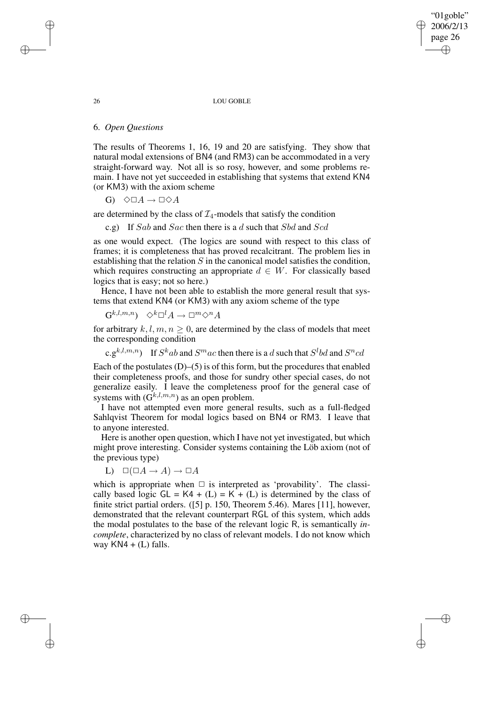"01goble" 2006/2/13 page 26 ✐ ✐

✐

✐

#### 26 LOU GOBLE

# 6. *Open Questions*

The results of Theorems 1, 16, 19 and 20 are satisfying. They show that natural modal extensions of BN4 (and RM3) can be accommodated in a very straight-forward way. Not all is so rosy, however, and some problems remain. I have not yet succeeded in establishing that systems that extend KN4 (or KM3) with the axiom scheme

G)  $\Diamond \Box A \rightarrow \Box \Diamond A$ 

are determined by the class of  $\mathcal{I}_4$ -models that satisfy the condition

c.g) If Sab and Sac then there is a d such that Sbd and Scd

as one would expect. (The logics are sound with respect to this class of frames; it is completeness that has proved recalcitrant. The problem lies in establishing that the relation S in the canonical model satisfies the condition, which requires constructing an appropriate  $d \in W$ . For classically based logics that is easy; not so here.)

Hence, I have not been able to establish the more general result that systems that extend KN4 (or KM3) with any axiom scheme of the type

 $\mathrm{G}^{k,l,m,n}) \;\;\diamondsuit^k\Box^l A \to \Box^m \diamondsuit^n A$ 

for arbitrary  $k, l, m, n \geq 0$ , are determined by the class of models that meet the corresponding condition

c.g<sup>k,l,m,n</sup>) If  $S^kab$  and  $S^mac$  then there is a d such that  $S^lbd$  and  $S^ncd$ 

Each of the postulates  $(D)$ – $(5)$  is of this form, but the procedures that enabled their completeness proofs, and those for sundry other special cases, do not generalize easily. I leave the completeness proof for the general case of systems with  $(G^{k,l,m,n})$  as an open problem.

I have not attempted even more general results, such as a full-fledged Sahlqvist Theorem for modal logics based on BN4 or RM3. I leave that to anyone interested.

Here is another open question, which I have not yet investigated, but which might prove interesting. Consider systems containing the Löb axiom (not of the previous type)

$$
L) \quad \Box(\Box A \to A) \to \Box A
$$

which is appropriate when  $\Box$  is interpreted as 'provability'. The classically based logic  $GL = K4 + (L) = K + (L)$  is determined by the class of finite strict partial orders. ([5] p. 150, Theorem 5.46). Mares [11], however, demonstrated that the relevant counterpart RGL of this system, which adds the modal postulates to the base of the relevant logic R, is semantically *incomplete*, characterized by no class of relevant models. I do not know which way  $KN4 + (L)$  falls.

✐

✐

✐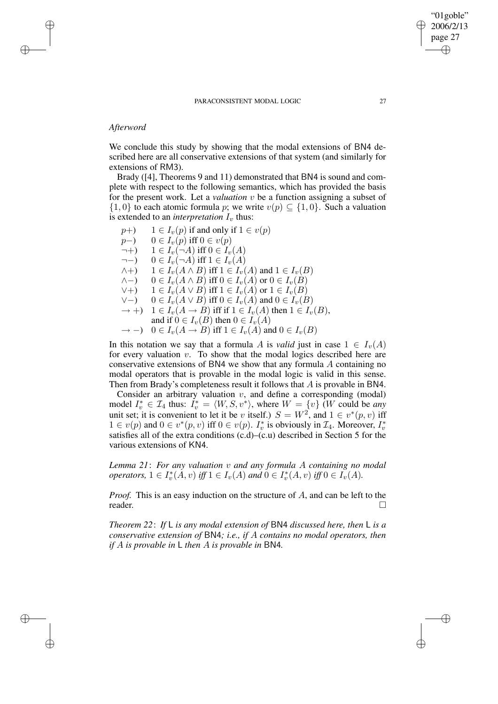# *Afterword*

✐

✐

✐

✐

We conclude this study by showing that the modal extensions of BN4 described here are all conservative extensions of that system (and similarly for extensions of RM3).

Brady ([4], Theorems 9 and 11) demonstrated that BN4 is sound and complete with respect to the following semantics, which has provided the basis for the present work. Let a *valuation* v be a function assigning a subset of  $\{1,0\}$  to each atomic formula p; we write  $v(p) \subseteq \{1,0\}$ . Such a valuation is extended to an *interpretation*  $I_v$  thus:

$$
p+)
$$
  $1 \in I_v(p)$  if and only if  $1 \in v(p)$   
\n $p-)$   $0 \in I_v(p)$  iff  $0 \in v(p)$   
\n $\neg +)$   $1 \in I_v(\neg A)$  iff  $0 \in I_v(A)$   
\n $\neg -)$   $0 \in I_v(\neg A)$  iff  $1 \in I_v(A)$   
\n $\land +)$   $1 \in I_v(A \land B)$  iff  $1 \in I_v(A)$  and  $1 \in I_v(B)$   
\n $\land -)$   $0 \in I_v(A \land B)$  iff  $0 \in I_v(A)$  or  $0 \in I_v(B)$   
\n $\lor +)$   $1 \in I_v(A \lor B)$  iff  $1 \in I_v(A)$  or  $1 \in I_v(B)$   
\n $\lor -)$   $0 \in I_v(A \lor B)$  iff  $0 \in I_v(A)$  and  $0 \in I_v(B)$   
\n $\rightarrow +)$   $1 \in I_v(A \rightarrow B)$  iff if  $1 \in I_v(A)$  then  $1 \in I_v(B)$ ,  
\nand if  $0 \in I_v(B)$  then  $0 \in I_v(A)$   
\n $\rightarrow -)$   $0 \in I_v(A \rightarrow B)$  iff  $1 \in I_v(A)$  and  $0 \in I_v(B)$ 

In this notation we say that a formula A is *valid* just in case  $1 \in I_{\nu}(A)$ for every valuation  $v$ . To show that the modal logics described here are conservative extensions of BN4 we show that any formula A containing no modal operators that is provable in the modal logic is valid in this sense. Then from Brady's completeness result it follows that A is provable in BN4.

Consider an arbitrary valuation  $v$ , and define a corresponding (modal) model  $I_v^* \in \mathcal{I}_4$  thus:  $I_v^* = \langle W, S, v^* \rangle$ , where  $W = \{v\}$  (W could be *any* unit set; it is convenient to let it be v itself.)  $S = W^2$ , and  $1 \in v^*(p, v)$  iff  $1 \in v(p)$  and  $0 \in v^*(p, v)$  iff  $0 \in v(p)$ .  $I_v^*$ <sup>\*</sup> is obviously in  $\mathcal{I}_4$ . Moreover,  $I_v^*$ v satisfies all of the extra conditions (c.d)–(c.u) described in Section 5 for the various extensions of KN4.

*Lemma 21*: *For any valuation* v *and any formula* A *containing no modal operators,*  $1 \in I_v^*$  $v_v^*(A, v)$  *iff*  $1 \in I_v(A)$  *and*  $0 \in I_v^*$  $v_v^*(A, v)$  *iff*  $0 \in I_v(A)$ .

*Proof.* This is an easy induction on the structure of A, and can be left to the reader.

*Theorem 22*: *If* L *is any modal extension of* BN4 *discussed here, then* L *is a conservative extension of* BN4*; i.e., if* A *contains no modal operators, then if* A *is provable in* L *then* A *is provable in* BN4*.*

"01goble" 2006/2/13 page 27

✐

✐

✐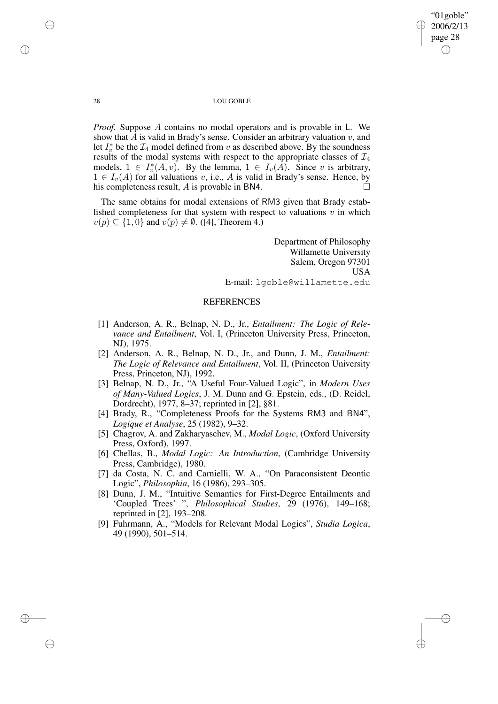"01goble" 2006/2/13 page 28 ✐ ✐

✐

✐

#### 28 LOU GOBLE

*Proof.* Suppose A contains no modal operators and is provable in L. We show that A is valid in Brady's sense. Consider an arbitrary valuation  $v$ , and Let  $I_v^*$  be the  $I_4$  model defined from v as described above. By the soundness results of the modal systems with respect to the appropriate classes of  $\mathcal{I}_4$ models,  $1 \in I_v^*$  $v_v^*(A, v)$ . By the lemma,  $1 \in I_v(A)$ . Since v is arbitrary,  $1 \in I_{\nu}(A)$  for all valuations v, i.e., A is valid in Brady's sense. Hence, by his completeness result, A is provable in BN4.

The same obtains for modal extensions of RM3 given that Brady established completeness for that system with respect to valuations  $v$  in which  $v(p) \subseteq \{1, 0\}$  and  $v(p) \neq \emptyset$ . ([4], Theorem 4.)

> Department of Philosophy Willamette University Salem, Oregon 97301 USA E-mail: lgoble@willamette.edu

## REFERENCES

- [1] Anderson, A. R., Belnap, N. D., Jr., *Entailment: The Logic of Relevance and Entailment*, Vol. I, (Princeton University Press, Princeton, NJ), 1975.
- [2] Anderson, A. R., Belnap, N. D., Jr., and Dunn, J. M., *Entailment: The Logic of Relevance and Entailment*, Vol. II, (Princeton University Press, Princeton, NJ), 1992.
- [3] Belnap, N. D., Jr., "A Useful Four-Valued Logic", in *Modern Uses of Many-Valued Logics*, J. M. Dunn and G. Epstein, eds., (D. Reidel, Dordrecht), 1977, 8–37; reprinted in [2], §81.
- [4] Brady, R., "Completeness Proofs for the Systems RM3 and BN4", *Logique et Analyse*, 25 (1982), 9–32.
- [5] Chagrov, A. and Zakharyaschev, M., *Modal Logic*, (Oxford University Press, Oxford), 1997.
- [6] Chellas, B., *Modal Logic: An Introduction*, (Cambridge University Press, Cambridge), 1980.
- [7] da Costa, N. C. and Carnielli, W. A., "On Paraconsistent Deontic Logic", *Philosophia*, 16 (1986), 293–305.
- [8] Dunn, J. M., "Intuitive Semantics for First-Degree Entailments and 'Coupled Trees' ", *Philosophical Studies*, 29 (1976), 149–168; reprinted in [2], 193–208.
- [9] Fuhrmann, A., "Models for Relevant Modal Logics", *Studia Logica*, 49 (1990), 501–514.

✐

✐

✐